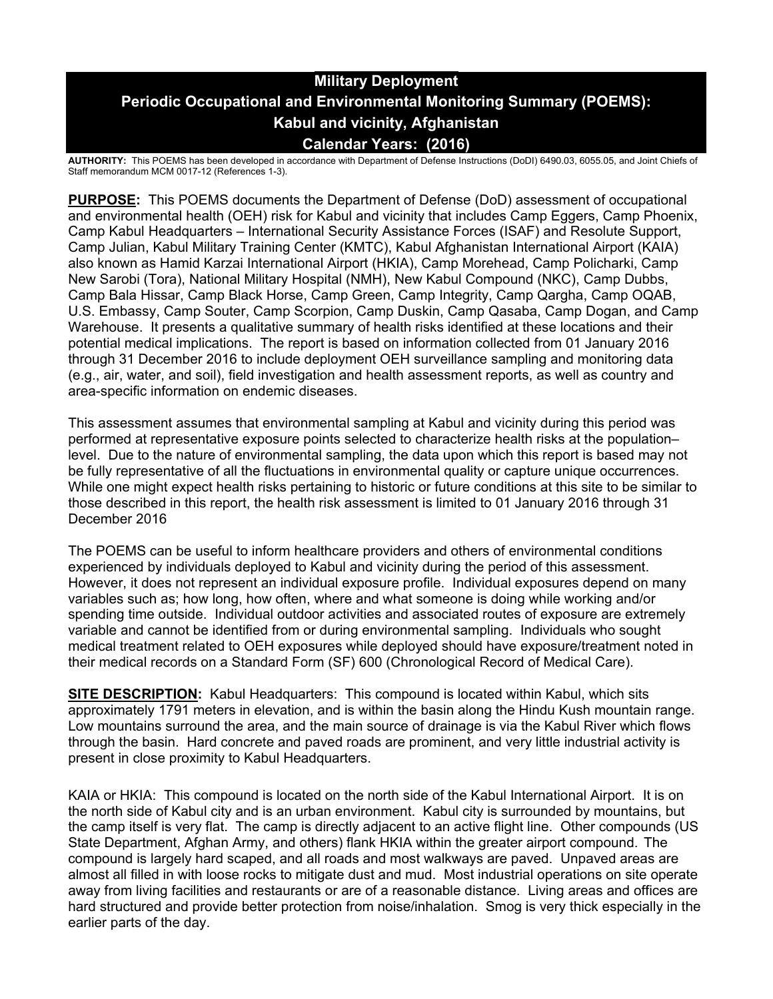# **Military Deployment Periodic Occupational and Environmental Monitoring Summary (POEMS): Kabul and vicinity, Afghanistan Calendar Years: (2016)**

**AUTHORITY:** This POEMS has been developed in accordance with Department of Defense Instructions (DoDI) 6490.03, 6055.05, and Joint Chiefs of Staff memorandum MCM 0017-12 (References 1-3).

**PURPOSE:** This POEMS documents the Department of Defense (DoD) assessment of occupational and environmental health (OEH) risk for Kabul and vicinity that includes Camp Eggers, Camp Phoenix, Camp Kabul Headquarters – International Security Assistance Forces (ISAF) and Resolute Support, Camp Julian, Kabul Military Training Center (KMTC), Kabul Afghanistan International Airport (KAIA) also known as Hamid Karzai International Airport (HKIA), Camp Morehead, Camp Policharki, Camp New Sarobi (Tora), National Military Hospital (NMH), New Kabul Compound (NKC), Camp Dubbs, Camp Bala Hissar, Camp Black Horse, Camp Green, Camp Integrity, Camp Qargha, Camp OQAB, U.S. Embassy, Camp Souter, Camp Scorpion, Camp Duskin, Camp Qasaba, Camp Dogan, and Camp Warehouse. It presents a qualitative summary of health risks identified at these locations and their potential medical implications. The report is based on information collected from 01 January 2016 through 31 December 2016 to include deployment OEH surveillance sampling and monitoring data (e.g., air, water, and soil), field investigation and health assessment reports, as well as country and area-specific information on endemic diseases.

This assessment assumes that environmental sampling at Kabul and vicinity during this period was performed at representative exposure points selected to characterize health risks at the population– level. Due to the nature of environmental sampling, the data upon which this report is based may not be fully representative of all the fluctuations in environmental quality or capture unique occurrences. While one might expect health risks pertaining to historic or future conditions at this site to be similar to those described in this report, the health risk assessment is limited to 01 January 2016 through 31 December 2016

The POEMS can be useful to inform healthcare providers and others of environmental conditions experienced by individuals deployed to Kabul and vicinity during the period of this assessment. However, it does not represent an individual exposure profile. Individual exposures depend on many variables such as; how long, how often, where and what someone is doing while working and/or spending time outside. Individual outdoor activities and associated routes of exposure are extremely variable and cannot be identified from or during environmental sampling. Individuals who sought medical treatment related to OEH exposures while deployed should have exposure/treatment noted in their medical records on a Standard Form (SF) 600 (Chronological Record of Medical Care).

**SITE DESCRIPTION:** Kabul Headquarters: This compound is located within Kabul, which sits approximately 1791 meters in elevation, and is within the basin along the Hindu Kush mountain range. Low mountains surround the area, and the main source of drainage is via the Kabul River which flows through the basin. Hard concrete and paved roads are prominent, and very little industrial activity is present in close proximity to Kabul Headquarters.

KAIA or HKIA: This compound is located on the north side of the Kabul International Airport. It is on the north side of Kabul city and is an urban environment. Kabul city is surrounded by mountains, but the camp itself is very flat. The camp is directly adjacent to an active flight line. Other compounds (US State Department, Afghan Army, and others) flank HKIA within the greater airport compound. The compound is largely hard scaped, and all roads and most walkways are paved. Unpaved areas are almost all filled in with loose rocks to mitigate dust and mud. Most industrial operations on site operate away from living facilities and restaurants or are of a reasonable distance. Living areas and offices are hard structured and provide better protection from noise/inhalation. Smog is very thick especially in the earlier parts of the day.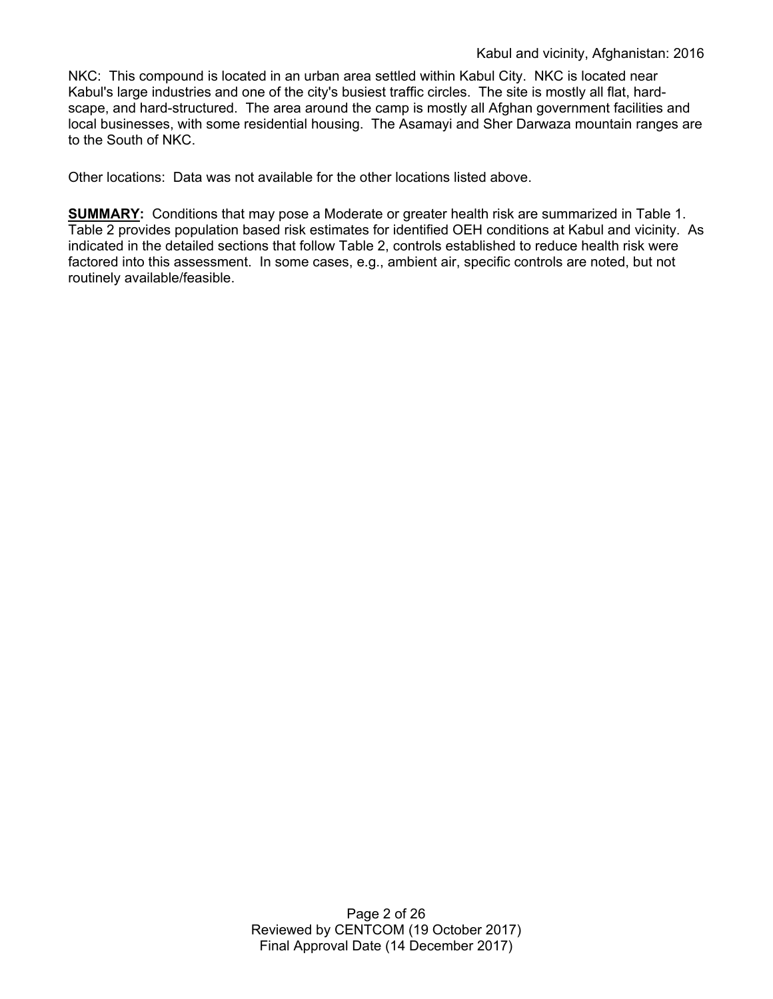NKC: This compound is located in an urban area settled within Kabul City. NKC is located near Kabul's large industries and one of the city's busiest traffic circles. The site is mostly all flat, hardscape, and hard-structured. The area around the camp is mostly all Afghan government facilities and local businesses, with some residential housing. The Asamayi and Sher Darwaza mountain ranges are to the South of NKC.

Other locations: Data was not available for the other locations listed above.

**SUMMARY:** Conditions that may pose a Moderate or greater health risk are summarized in Table 1. Table 2 provides population based risk estimates for identified OEH conditions at Kabul and vicinity. As indicated in the detailed sections that follow Table 2, controls established to reduce health risk were factored into this assessment. In some cases, e.g., ambient air, specific controls are noted, but not routinely available/feasible.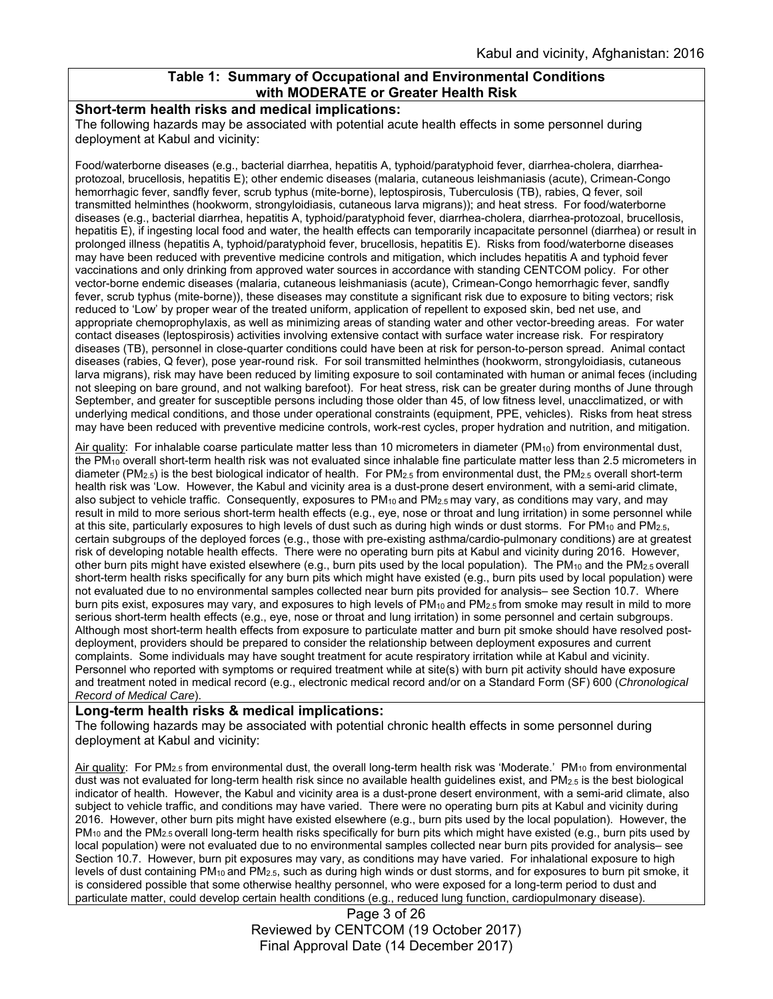### **Table 1: Summary of Occupational and Environmental Conditions with MODERATE or Greater Health Risk**

#### **Short-term health risks and medical implications:**

The following hazards may be associated with potential acute health effects in some personnel during deployment at Kabul and vicinity:

Food/waterborne diseases (e.g., bacterial diarrhea, hepatitis A, typhoid/paratyphoid fever, diarrhea-cholera, diarrheaprotozoal, brucellosis, hepatitis E); other endemic diseases (malaria, cutaneous leishmaniasis (acute), Crimean-Congo hemorrhagic fever, sandfly fever, scrub typhus (mite-borne), leptospirosis, Tuberculosis (TB), rabies, Q fever, soil transmitted helminthes (hookworm, strongyloidiasis, cutaneous larva migrans)); and heat stress. For food/waterborne diseases (e.g., bacterial diarrhea, hepatitis A, typhoid/paratyphoid fever, diarrhea-cholera, diarrhea-protozoal, brucellosis, hepatitis E), if ingesting local food and water, the health effects can temporarily incapacitate personnel (diarrhea) or result in prolonged illness (hepatitis A, typhoid/paratyphoid fever, brucellosis, hepatitis E). Risks from food/waterborne diseases may have been reduced with preventive medicine controls and mitigation, which includes hepatitis A and typhoid fever vaccinations and only drinking from approved water sources in accordance with standing CENTCOM policy. For other vector-borne endemic diseases (malaria, cutaneous leishmaniasis (acute), Crimean-Congo hemorrhagic fever, sandfly fever, scrub typhus (mite-borne)), these diseases may constitute a significant risk due to exposure to biting vectors; risk reduced to 'Low' by proper wear of the treated uniform, application of repellent to exposed skin, bed net use, and appropriate chemoprophylaxis, as well as minimizing areas of standing water and other vector-breeding areas. For water contact diseases (leptospirosis) activities involving extensive contact with surface water increase risk. For respiratory diseases (TB), personnel in close-quarter conditions could have been at risk for person-to-person spread. Animal contact diseases (rabies, Q fever), pose year-round risk. For soil transmitted helminthes (hookworm, strongyloidiasis, cutaneous larva migrans), risk may have been reduced by limiting exposure to soil contaminated with human or animal feces (including not sleeping on bare ground, and not walking barefoot). For heat stress, risk can be greater during months of June through September, and greater for susceptible persons including those older than 45, of low fitness level, unacclimatized, or with underlying medical conditions, and those under operational constraints (equipment, PPE, vehicles). Risks from heat stress may have been reduced with preventive medicine controls, work-rest cycles, proper hydration and nutrition, and mitigation.

Air quality: For inhalable coarse particulate matter less than 10 micrometers in diameter (PM<sub>10</sub>) from environmental dust, the PM10 overall short-term health risk was not evaluated since inhalable fine particulate matter less than 2.5 micrometers in diameter (PM<sub>2.5</sub>) is the best biological indicator of health. For PM<sub>2.5</sub> from environmental dust, the PM<sub>2.5</sub> overall short-term health risk was 'Low. However, the Kabul and vicinity area is a dust-prone desert environment, with a semi-arid climate, also subject to vehicle traffic. Consequently, exposures to  $PM_{10}$  and  $PM_{2.5}$  may vary, as conditions may vary, and may result in mild to more serious short-term health effects (e.g., eye, nose or throat and lung irritation) in some personnel while at this site, particularly exposures to high levels of dust such as during high winds or dust storms. For PM<sub>10</sub> and PM<sub>2.5</sub>, certain subgroups of the deployed forces (e.g., those with pre-existing asthma/cardio-pulmonary conditions) are at greatest risk of developing notable health effects. There were no operating burn pits at Kabul and vicinity during 2016. However, other burn pits might have existed elsewhere (e.g., burn pits used by the local population). The PM<sub>10</sub> and the PM<sub>2.5</sub> overall short-term health risks specifically for any burn pits which might have existed (e.g., burn pits used by local population) were not evaluated due to no environmental samples collected near burn pits provided for analysis– see Section 10.7. Where burn pits exist, exposures may vary, and exposures to high levels of PM<sub>10</sub> and PM<sub>2.5</sub> from smoke may result in mild to more serious short-term health effects (e.g., eye, nose or throat and lung irritation) in some personnel and certain subgroups. Although most short-term health effects from exposure to particulate matter and burn pit smoke should have resolved postdeployment, providers should be prepared to consider the relationship between deployment exposures and current complaints. Some individuals may have sought treatment for acute respiratory irritation while at Kabul and vicinity. Personnel who reported with symptoms or required treatment while at site(s) with burn pit activity should have exposure and treatment noted in medical record (e.g., electronic medical record and/or on a Standard Form (SF) 600 (*Chronological Record of Medical Care*).

### **Long-term health risks & medical implications:**

The following hazards may be associated with potential chronic health effects in some personnel during deployment at Kabul and vicinity:

Air quality: For PM<sub>2.5</sub> from environmental dust, the overall long-term health risk was 'Moderate.' PM<sub>10</sub> from environmental dust was not evaluated for long-term health risk since no available health guidelines exist, and PM2.5 is the best biological indicator of health. However, the Kabul and vicinity area is a dust-prone desert environment, with a semi-arid climate, also subject to vehicle traffic, and conditions may have varied. There were no operating burn pits at Kabul and vicinity during 2016. However, other burn pits might have existed elsewhere (e.g., burn pits used by the local population). However, the  $PM_{10}$  and the PM<sub>2.5</sub> overall long-term health risks specifically for burn pits which might have existed (e.g., burn pits used by local population) were not evaluated due to no environmental samples collected near burn pits provided for analysis– see Section 10.7. However, burn pit exposures may vary, as conditions may have varied. For inhalational exposure to high levels of dust containing PM<sub>10</sub> and PM<sub>2.5</sub>, such as during high winds or dust storms, and for exposures to burn pit smoke, it is considered possible that some otherwise healthy personnel, who were exposed for a long-term period to dust and particulate matter, could develop certain health conditions (e.g., reduced lung function, cardiopulmonary disease).

Page 3 of 26 Reviewed by CENTCOM (19 October 2017) Final Approval Date (14 December 2017)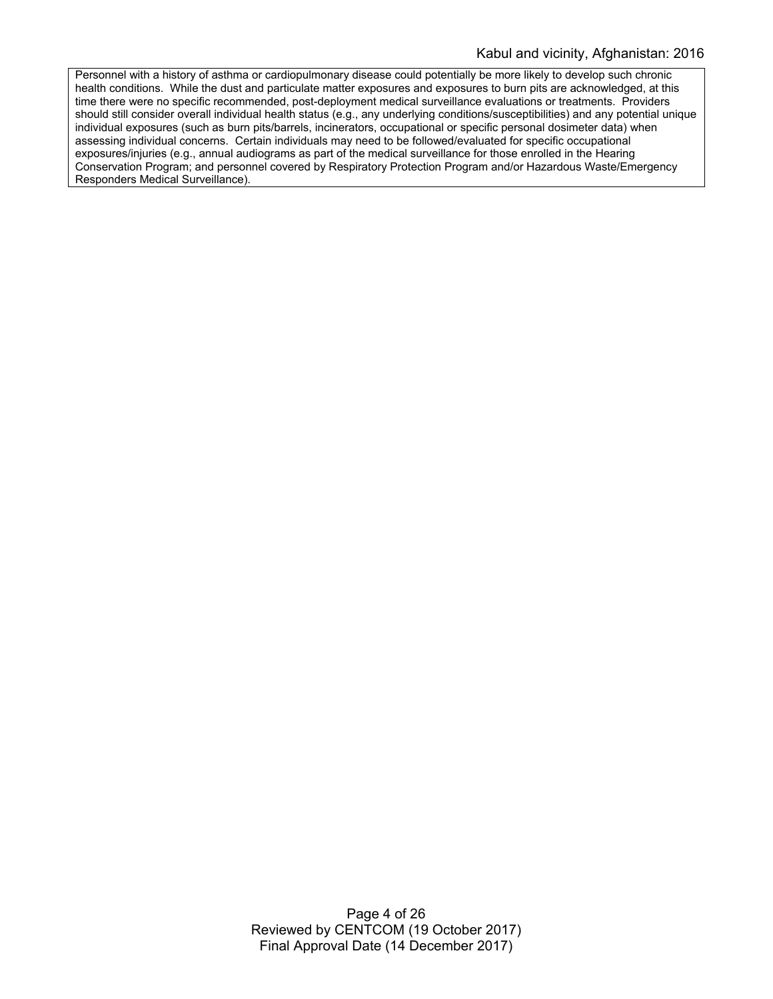Personnel with a history of asthma or cardiopulmonary disease could potentially be more likely to develop such chronic health conditions. While the dust and particulate matter exposures and exposures to burn pits are acknowledged, at this time there were no specific recommended, post-deployment medical surveillance evaluations or treatments. Providers should still consider overall individual health status (e.g., any underlying conditions/susceptibilities) and any potential unique individual exposures (such as burn pits/barrels, incinerators, occupational or specific personal dosimeter data) when assessing individual concerns. Certain individuals may need to be followed/evaluated for specific occupational exposures/injuries (e.g., annual audiograms as part of the medical surveillance for those enrolled in the Hearing Conservation Program; and personnel covered by Respiratory Protection Program and/or Hazardous Waste/Emergency Responders Medical Surveillance).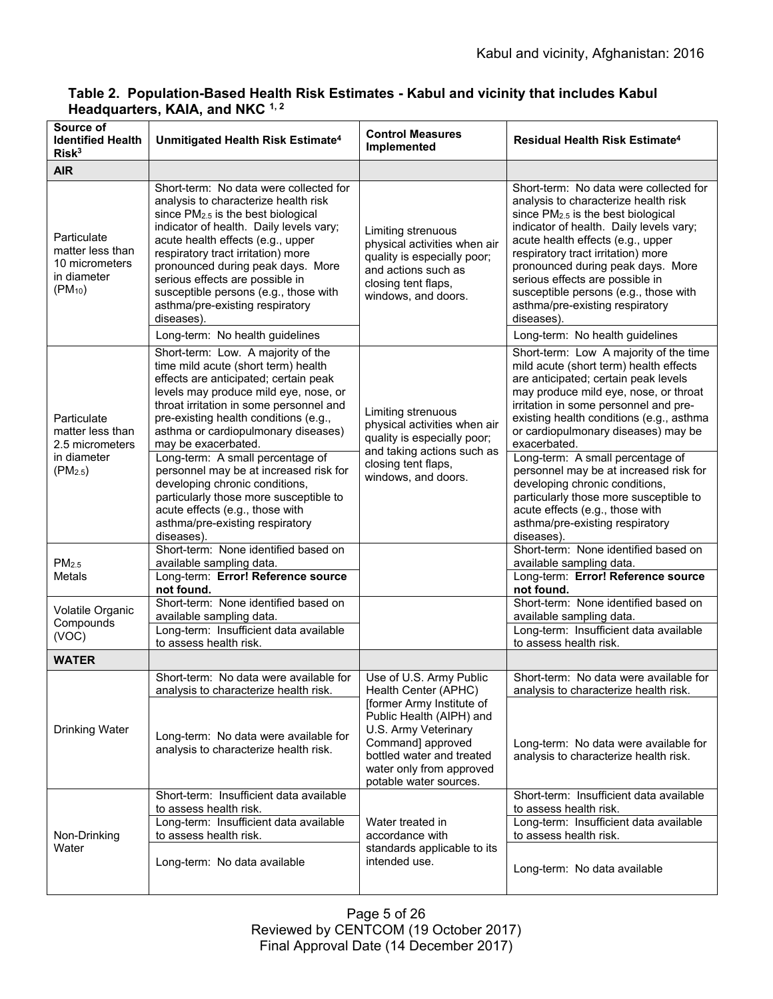| Source of<br><b>Identified Health</b><br>Risk <sup>3</sup>                                | Unmitigated Health Risk Estimate <sup>4</sup>                                                                                                                                                                                                                                                                                                                                                                                                                                                                                                                                                       | <b>Control Measures</b><br>Implemented                                                                                                                                                                                                   | Residual Health Risk Estimate <sup>4</sup>                                                                                                                                                                                                                                                                                                                                                                                                                                                                                                                                                          |
|-------------------------------------------------------------------------------------------|-----------------------------------------------------------------------------------------------------------------------------------------------------------------------------------------------------------------------------------------------------------------------------------------------------------------------------------------------------------------------------------------------------------------------------------------------------------------------------------------------------------------------------------------------------------------------------------------------------|------------------------------------------------------------------------------------------------------------------------------------------------------------------------------------------------------------------------------------------|-----------------------------------------------------------------------------------------------------------------------------------------------------------------------------------------------------------------------------------------------------------------------------------------------------------------------------------------------------------------------------------------------------------------------------------------------------------------------------------------------------------------------------------------------------------------------------------------------------|
| <b>AIR</b>                                                                                |                                                                                                                                                                                                                                                                                                                                                                                                                                                                                                                                                                                                     |                                                                                                                                                                                                                                          |                                                                                                                                                                                                                                                                                                                                                                                                                                                                                                                                                                                                     |
| Particulate<br>matter less than<br>10 micrometers<br>in diameter<br>$(PM_{10})$           | Short-term: No data were collected for<br>analysis to characterize health risk<br>since PM2.5 is the best biological<br>indicator of health. Daily levels vary;<br>acute health effects (e.g., upper<br>respiratory tract irritation) more<br>pronounced during peak days. More<br>serious effects are possible in<br>susceptible persons (e.g., those with<br>asthma/pre-existing respiratory<br>diseases).<br>Long-term: No health guidelines                                                                                                                                                     | Limiting strenuous<br>physical activities when air<br>quality is especially poor;<br>and actions such as<br>closing tent flaps,<br>windows, and doors.                                                                                   | Short-term: No data were collected for<br>analysis to characterize health risk<br>since PM2.5 is the best biological<br>indicator of health. Daily levels vary;<br>acute health effects (e.g., upper<br>respiratory tract irritation) more<br>pronounced during peak days. More<br>serious effects are possible in<br>susceptible persons (e.g., those with<br>asthma/pre-existing respiratory<br>diseases).<br>Long-term: No health guidelines                                                                                                                                                     |
| Particulate<br>matter less than<br>2.5 micrometers<br>in diameter<br>(PM <sub>2.5</sub> ) | Short-term: Low. A majority of the<br>time mild acute (short term) health<br>effects are anticipated; certain peak<br>levels may produce mild eye, nose, or<br>throat irritation in some personnel and<br>pre-existing health conditions (e.g.,<br>asthma or cardiopulmonary diseases)<br>may be exacerbated.<br>Long-term: A small percentage of<br>personnel may be at increased risk for<br>developing chronic conditions,<br>particularly those more susceptible to<br>acute effects (e.g., those with<br>asthma/pre-existing respiratory<br>diseases).<br>Short-term: None identified based on | Limiting strenuous<br>physical activities when air<br>quality is especially poor;<br>and taking actions such as<br>closing tent flaps,<br>windows, and doors.                                                                            | Short-term: Low A majority of the time<br>mild acute (short term) health effects<br>are anticipated; certain peak levels<br>may produce mild eye, nose, or throat<br>irritation in some personnel and pre-<br>existing health conditions (e.g., asthma<br>or cardiopulmonary diseases) may be<br>exacerbated.<br>Long-term: A small percentage of<br>personnel may be at increased risk for<br>developing chronic conditions,<br>particularly those more susceptible to<br>acute effects (e.g., those with<br>asthma/pre-existing respiratory<br>diseases).<br>Short-term: None identified based on |
| PM <sub>2.5</sub><br><b>Metals</b>                                                        | available sampling data.<br>Long-term: Error! Reference source<br>not found.                                                                                                                                                                                                                                                                                                                                                                                                                                                                                                                        |                                                                                                                                                                                                                                          | available sampling data.<br>Long-term: Error! Reference source<br>not found.                                                                                                                                                                                                                                                                                                                                                                                                                                                                                                                        |
| Volatile Organic<br>Compounds<br>(VOC)                                                    | Short-term: None identified based on<br>available sampling data.<br>Long-term: Insufficient data available<br>to assess health risk.                                                                                                                                                                                                                                                                                                                                                                                                                                                                |                                                                                                                                                                                                                                          | Short-term: None identified based on<br>available sampling data.<br>Long-term: Insufficient data available<br>to assess health risk.                                                                                                                                                                                                                                                                                                                                                                                                                                                                |
| <b>WATER</b>                                                                              |                                                                                                                                                                                                                                                                                                                                                                                                                                                                                                                                                                                                     |                                                                                                                                                                                                                                          |                                                                                                                                                                                                                                                                                                                                                                                                                                                                                                                                                                                                     |
| <b>Drinking Water</b>                                                                     | Short-term: No data were available for<br>analysis to characterize health risk.<br>Long-term: No data were available for<br>analysis to characterize health risk.                                                                                                                                                                                                                                                                                                                                                                                                                                   | Use of U.S. Army Public<br>Health Center (APHC)<br>[former Army Institute of<br>Public Health (AIPH) and<br>U.S. Army Veterinary<br>Command] approved<br>bottled water and treated<br>water only from approved<br>potable water sources. | Short-term: No data were available for<br>analysis to characterize health risk.<br>Long-term: No data were available for<br>analysis to characterize health risk.                                                                                                                                                                                                                                                                                                                                                                                                                                   |
| Non-Drinking<br>Water                                                                     | Short-term: Insufficient data available<br>to assess health risk.<br>Long-term: Insufficient data available<br>to assess health risk.<br>Long-term: No data available                                                                                                                                                                                                                                                                                                                                                                                                                               | Water treated in<br>accordance with<br>standards applicable to its<br>intended use.                                                                                                                                                      | Short-term: Insufficient data available<br>to assess health risk.<br>Long-term: Insufficient data available<br>to assess health risk.<br>Long-term: No data available                                                                                                                                                                                                                                                                                                                                                                                                                               |

# **Table 2. Population-Based Health Risk Estimates - Kabul and vicinity that includes Kabul Headquarters, KAIA, and NKC 1, 2**

Page 5 of 26 Reviewed by CENTCOM (19 October 2017) Final Approval Date (14 December 2017)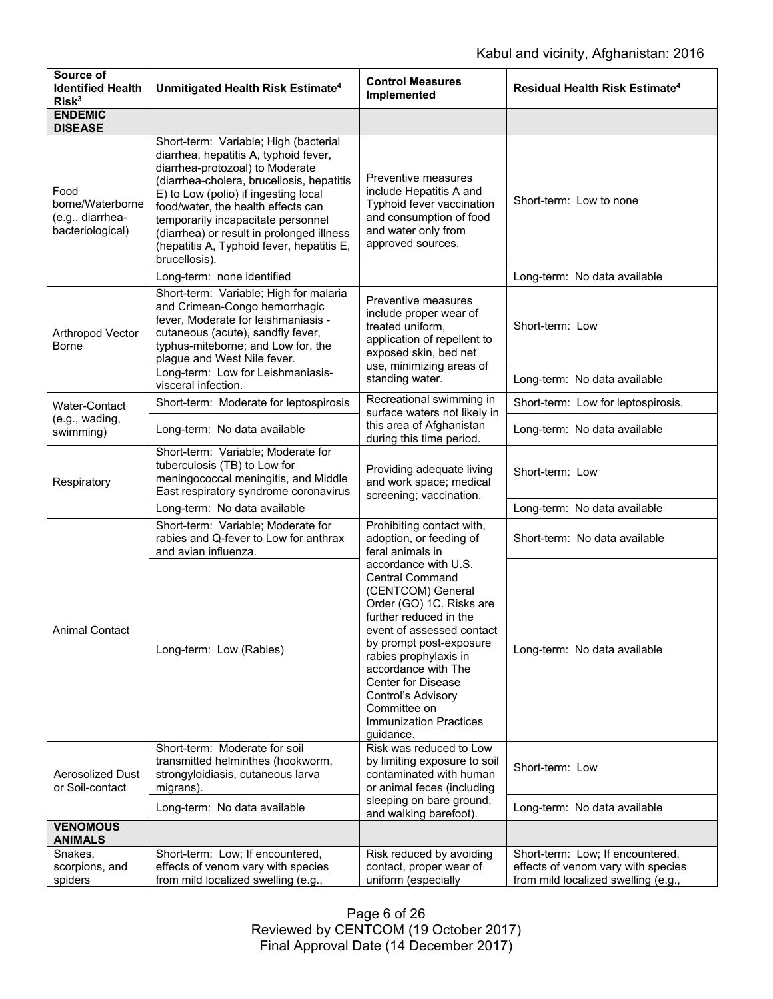| Source of<br><b>Identified Health</b><br>Risk <sup>3</sup>       | Unmitigated Health Risk Estimate <sup>4</sup>                                                                                                                                                                                                                                                                                                                                                 | <b>Control Measures</b><br><b>Implemented</b>                                                                                                                                                                                                                                                                                                                                                                                  | Residual Health Risk Estimate <sup>4</sup>                                                                    |
|------------------------------------------------------------------|-----------------------------------------------------------------------------------------------------------------------------------------------------------------------------------------------------------------------------------------------------------------------------------------------------------------------------------------------------------------------------------------------|--------------------------------------------------------------------------------------------------------------------------------------------------------------------------------------------------------------------------------------------------------------------------------------------------------------------------------------------------------------------------------------------------------------------------------|---------------------------------------------------------------------------------------------------------------|
| <b>ENDEMIC</b><br><b>DISEASE</b>                                 |                                                                                                                                                                                                                                                                                                                                                                                               |                                                                                                                                                                                                                                                                                                                                                                                                                                |                                                                                                               |
| Food<br>borne/Waterborne<br>(e.g., diarrhea-<br>bacteriological) | Short-term: Variable; High (bacterial<br>diarrhea, hepatitis A, typhoid fever,<br>diarrhea-protozoal) to Moderate<br>(diarrhea-cholera, brucellosis, hepatitis<br>E) to Low (polio) if ingesting local<br>food/water, the health effects can<br>temporarily incapacitate personnel<br>(diarrhea) or result in prolonged illness<br>(hepatitis A, Typhoid fever, hepatitis E,<br>brucellosis). | Preventive measures<br>include Hepatitis A and<br>Typhoid fever vaccination<br>and consumption of food<br>and water only from<br>approved sources.                                                                                                                                                                                                                                                                             | Short-term: Low to none                                                                                       |
|                                                                  | Long-term: none identified                                                                                                                                                                                                                                                                                                                                                                    |                                                                                                                                                                                                                                                                                                                                                                                                                                | Long-term: No data available                                                                                  |
| Arthropod Vector<br><b>Borne</b>                                 | Short-term: Variable; High for malaria<br>and Crimean-Congo hemorrhagic<br>fever, Moderate for leishmaniasis -<br>cutaneous (acute), sandfly fever,<br>typhus-miteborne; and Low for, the<br>plague and West Nile fever.                                                                                                                                                                      | Preventive measures<br>include proper wear of<br>treated uniform,<br>application of repellent to<br>exposed skin, bed net<br>use, minimizing areas of<br>standing water.                                                                                                                                                                                                                                                       | Short-term: Low                                                                                               |
|                                                                  | Long-term: Low for Leishmaniasis-<br>visceral infection.                                                                                                                                                                                                                                                                                                                                      |                                                                                                                                                                                                                                                                                                                                                                                                                                | Long-term: No data available                                                                                  |
| Water-Contact                                                    | Short-term: Moderate for leptospirosis                                                                                                                                                                                                                                                                                                                                                        | Recreational swimming in<br>surface waters not likely in                                                                                                                                                                                                                                                                                                                                                                       | Short-term: Low for leptospirosis.                                                                            |
| (e.g., wading,<br>swimming)                                      | Long-term: No data available                                                                                                                                                                                                                                                                                                                                                                  | this area of Afghanistan<br>during this time period.                                                                                                                                                                                                                                                                                                                                                                           | Long-term: No data available                                                                                  |
| Respiratory                                                      | Short-term: Variable; Moderate for<br>tuberculosis (TB) to Low for<br>meningococcal meningitis, and Middle<br>East respiratory syndrome coronavirus                                                                                                                                                                                                                                           | Providing adequate living<br>and work space; medical<br>screening; vaccination.                                                                                                                                                                                                                                                                                                                                                | Short-term: Low                                                                                               |
|                                                                  | Long-term: No data available                                                                                                                                                                                                                                                                                                                                                                  |                                                                                                                                                                                                                                                                                                                                                                                                                                | Long-term: No data available                                                                                  |
| Animal Contact                                                   | Short-term: Variable; Moderate for<br>rabies and Q-fever to Low for anthrax<br>and avian influenza.                                                                                                                                                                                                                                                                                           | Prohibiting contact with,<br>adoption, or feeding of<br>feral animals in<br>accordance with U.S.<br><b>Central Command</b><br>(CENTCOM) General<br>Order (GO) 1C. Risks are<br>further reduced in the<br>event of assessed contact<br>by prompt post-exposure<br>rabies prophylaxis in<br>accordance with The<br><b>Center for Disease</b><br>Control's Advisory<br>Committee on<br><b>Immunization Practices</b><br>guidance. | Short-term: No data available                                                                                 |
|                                                                  | Long-term: Low (Rabies)                                                                                                                                                                                                                                                                                                                                                                       |                                                                                                                                                                                                                                                                                                                                                                                                                                | Long-term: No data available                                                                                  |
| <b>Aerosolized Dust</b><br>or Soil-contact                       | Short-term: Moderate for soil<br>transmitted helminthes (hookworm,<br>strongyloidiasis, cutaneous larva<br>migrans).                                                                                                                                                                                                                                                                          | Risk was reduced to Low<br>by limiting exposure to soil<br>contaminated with human<br>or animal feces (including                                                                                                                                                                                                                                                                                                               | Short-term: Low                                                                                               |
|                                                                  | Long-term: No data available                                                                                                                                                                                                                                                                                                                                                                  | sleeping on bare ground,<br>and walking barefoot).                                                                                                                                                                                                                                                                                                                                                                             | Long-term: No data available                                                                                  |
| <b>VENOMOUS</b><br><b>ANIMALS</b>                                |                                                                                                                                                                                                                                                                                                                                                                                               |                                                                                                                                                                                                                                                                                                                                                                                                                                |                                                                                                               |
| Snakes,<br>scorpions, and<br>spiders                             | Short-term: Low; If encountered,<br>effects of venom vary with species<br>from mild localized swelling (e.g.,                                                                                                                                                                                                                                                                                 | Risk reduced by avoiding<br>contact, proper wear of<br>uniform (especially                                                                                                                                                                                                                                                                                                                                                     | Short-term: Low; If encountered,<br>effects of venom vary with species<br>from mild localized swelling (e.g., |

Page 6 of 26 Reviewed by CENTCOM (19 October 2017) Final Approval Date (14 December 2017)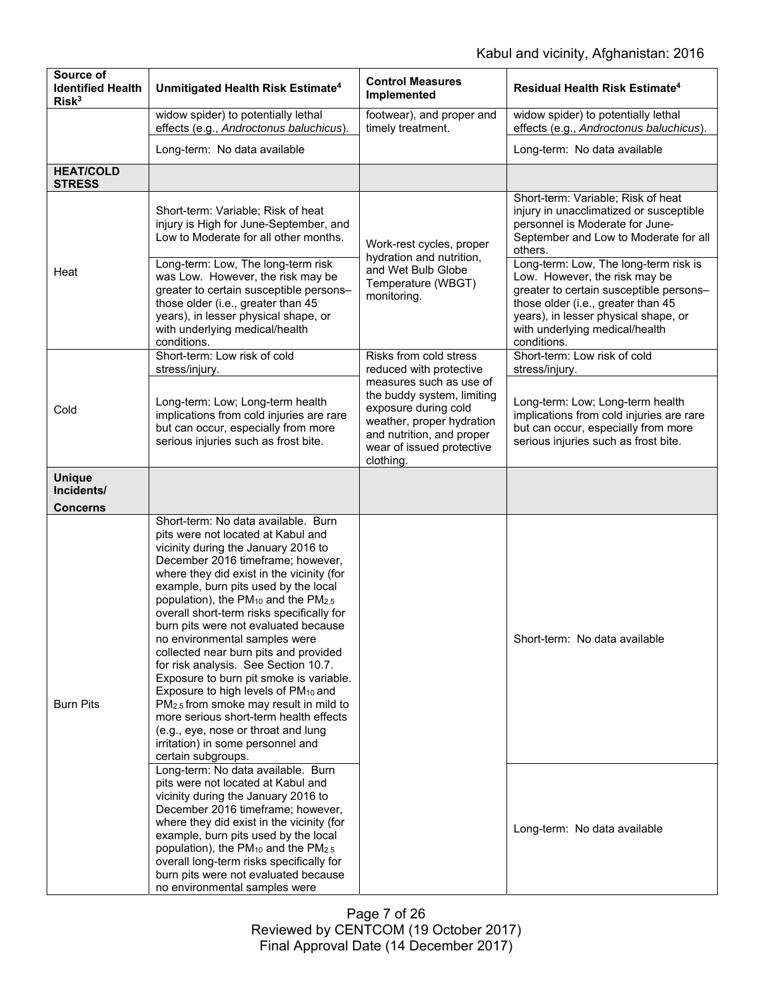| Source of<br><b>Identified Health</b><br>Risk <sup>3</sup> | Unmitigated Health Risk Estimate <sup>4</sup>                                                                                                                                                                                                                                                                                                                                                                                                                                                                                                                                                                                                                                                                                                                                                                                                | <b>Control Measures</b><br>Implemented                                                                                                                                                                                                 | <b>Residual Health Risk Estimate<sup>4</sup></b>                                                                                                                                                                                                 |
|------------------------------------------------------------|----------------------------------------------------------------------------------------------------------------------------------------------------------------------------------------------------------------------------------------------------------------------------------------------------------------------------------------------------------------------------------------------------------------------------------------------------------------------------------------------------------------------------------------------------------------------------------------------------------------------------------------------------------------------------------------------------------------------------------------------------------------------------------------------------------------------------------------------|----------------------------------------------------------------------------------------------------------------------------------------------------------------------------------------------------------------------------------------|--------------------------------------------------------------------------------------------------------------------------------------------------------------------------------------------------------------------------------------------------|
|                                                            | widow spider) to potentially lethal<br>effects (e.g., Androctonus baluchicus).                                                                                                                                                                                                                                                                                                                                                                                                                                                                                                                                                                                                                                                                                                                                                               | footwear), and proper and<br>timely treatment.                                                                                                                                                                                         | widow spider) to potentially lethal<br>effects (e.g., Androctonus baluchicus).                                                                                                                                                                   |
|                                                            | Long-term: No data available                                                                                                                                                                                                                                                                                                                                                                                                                                                                                                                                                                                                                                                                                                                                                                                                                 |                                                                                                                                                                                                                                        | Long-term: No data available                                                                                                                                                                                                                     |
| <b>HEAT/COLD</b><br><b>STRESS</b>                          |                                                                                                                                                                                                                                                                                                                                                                                                                                                                                                                                                                                                                                                                                                                                                                                                                                              |                                                                                                                                                                                                                                        |                                                                                                                                                                                                                                                  |
| Heat                                                       | Short-term: Variable; Risk of heat<br>injury is High for June-September, and<br>Low to Moderate for all other months.                                                                                                                                                                                                                                                                                                                                                                                                                                                                                                                                                                                                                                                                                                                        | Work-rest cycles, proper<br>hydration and nutrition,<br>and Wet Bulb Globe<br>Temperature (WBGT)<br>monitoring.                                                                                                                        | Short-term: Variable; Risk of heat<br>injury in unacclimatized or susceptible<br>personnel is Moderate for June-<br>September and Low to Moderate for all<br>others.                                                                             |
|                                                            | Long-term: Low, The long-term risk<br>was Low. However, the risk may be<br>greater to certain susceptible persons-<br>those older (i.e., greater than 45<br>years), in lesser physical shape, or<br>with underlying medical/health<br>conditions.                                                                                                                                                                                                                                                                                                                                                                                                                                                                                                                                                                                            |                                                                                                                                                                                                                                        | Long-term: Low, The long-term risk is<br>Low. However, the risk may be<br>greater to certain susceptible persons-<br>those older (i.e., greater than 45<br>years), in lesser physical shape, or<br>with underlying medical/health<br>conditions. |
| Cold                                                       | Short-term: Low risk of cold<br>stress/injury.                                                                                                                                                                                                                                                                                                                                                                                                                                                                                                                                                                                                                                                                                                                                                                                               | Risks from cold stress<br>reduced with protective<br>measures such as use of<br>the buddy system, limiting<br>exposure during cold<br>weather, proper hydration<br>and nutrition, and proper<br>wear of issued protective<br>clothing. | Short-term: Low risk of cold<br>stress/injury.                                                                                                                                                                                                   |
|                                                            | Long-term: Low; Long-term health<br>implications from cold injuries are rare<br>but can occur, especially from more<br>serious injuries such as frost bite.                                                                                                                                                                                                                                                                                                                                                                                                                                                                                                                                                                                                                                                                                  |                                                                                                                                                                                                                                        | Long-term: Low; Long-term health<br>implications from cold injuries are rare<br>but can occur, especially from more<br>serious injuries such as frost bite.                                                                                      |
| <b>Unique</b><br>Incidents/<br><b>Concerns</b>             |                                                                                                                                                                                                                                                                                                                                                                                                                                                                                                                                                                                                                                                                                                                                                                                                                                              |                                                                                                                                                                                                                                        |                                                                                                                                                                                                                                                  |
| <b>Burn Pits</b>                                           | Short-term: No data available. Burn<br>pits were not located at Kabul and<br>vicinity during the January 2016 to<br>December 2016 timeframe; however,<br>where they did exist in the vicinity (for<br>example, burn pits used by the local<br>population), the PM <sub>10</sub> and the PM <sub>2.5</sub><br>overall short-term risks specifically for<br>burn pits were not evaluated because<br>no environmental samples were<br>collected near burn pits and provided<br>for risk analysis. See Section 10.7.<br>Exposure to burn pit smoke is variable.<br>Exposure to high levels of PM <sub>10</sub> and<br>$PM2.5$ from smoke may result in mild to<br>more serious short-term health effects<br>(e.g., eye, nose or throat and lung<br>irritation) in some personnel and<br>certain subgroups.<br>Long-term: No data available. Burn |                                                                                                                                                                                                                                        | Short-term: No data available                                                                                                                                                                                                                    |
|                                                            | pits were not located at Kabul and<br>vicinity during the January 2016 to<br>December 2016 timeframe; however,<br>where they did exist in the vicinity (for<br>example, burn pits used by the local<br>population), the PM <sub>10</sub> and the PM <sub>2.5</sub><br>overall long-term risks specifically for<br>burn pits were not evaluated because<br>no environmental samples were                                                                                                                                                                                                                                                                                                                                                                                                                                                      |                                                                                                                                                                                                                                        | Long-term: No data available                                                                                                                                                                                                                     |

Page 7 of 26 Reviewed by CENTCOM (19 October 2017) Final Approval Date (14 December 2017)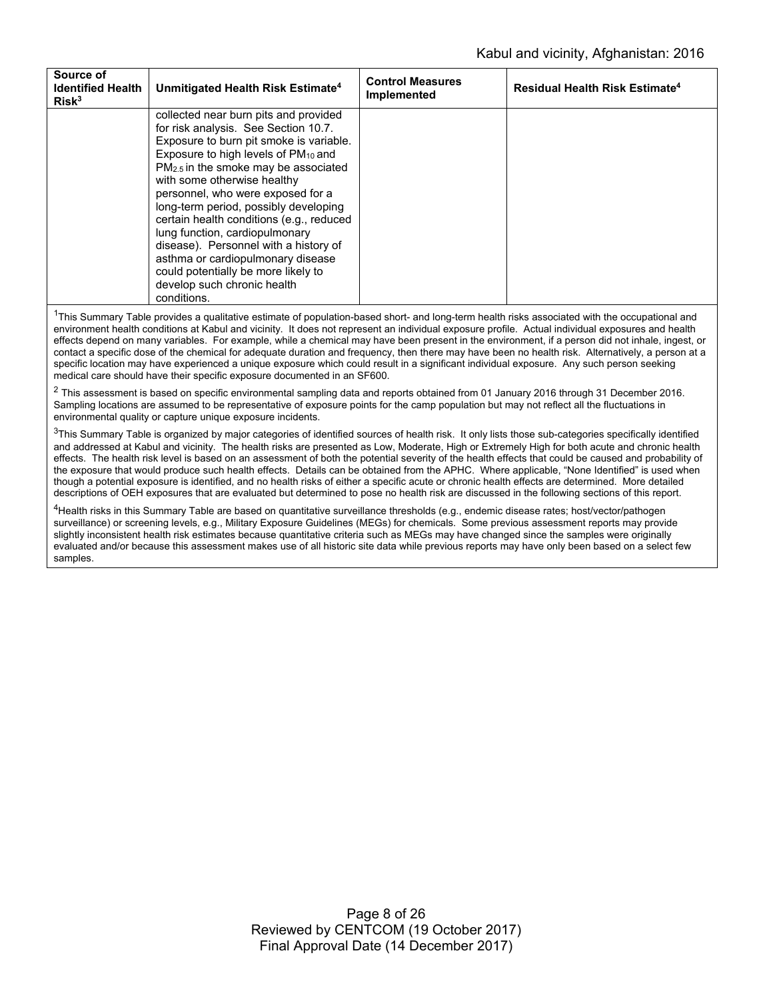| Source of<br><b>Identified Health</b><br>Risk <sup>3</sup> | Unmitigated Health Risk Estimate <sup>4</sup>    | <b>Control Measures</b><br>Implemented | <b>Residual Health Risk Estimate<sup>4</sup></b> |
|------------------------------------------------------------|--------------------------------------------------|----------------------------------------|--------------------------------------------------|
|                                                            | collected near burn pits and provided            |                                        |                                                  |
|                                                            | for risk analysis. See Section 10.7.             |                                        |                                                  |
|                                                            | Exposure to burn pit smoke is variable.          |                                        |                                                  |
|                                                            | Exposure to high levels of PM <sub>10</sub> and  |                                        |                                                  |
|                                                            | PM <sub>2.5</sub> in the smoke may be associated |                                        |                                                  |
|                                                            | with some otherwise healthy                      |                                        |                                                  |
|                                                            | personnel, who were exposed for a                |                                        |                                                  |
|                                                            | long-term period, possibly developing            |                                        |                                                  |
|                                                            | certain health conditions (e.g., reduced         |                                        |                                                  |
|                                                            | lung function, cardiopulmonary                   |                                        |                                                  |
|                                                            | disease). Personnel with a history of            |                                        |                                                  |
|                                                            | asthma or cardiopulmonary disease                |                                        |                                                  |
|                                                            | could potentially be more likely to              |                                        |                                                  |
|                                                            | develop such chronic health                      |                                        |                                                  |
|                                                            | conditions.                                      |                                        |                                                  |

<sup>1</sup>This Summary Table provides a qualitative estimate of population-based short- and long-term health risks associated with the occupational and environment health conditions at Kabul and vicinity. It does not represent an individual exposure profile. Actual individual exposures and health effects depend on many variables. For example, while a chemical may have been present in the environment, if a person did not inhale, ingest, or contact a specific dose of the chemical for adequate duration and frequency, then there may have been no health risk. Alternatively, a person at a specific location may have experienced a unique exposure which could result in a significant individual exposure. Any such person seeking medical care should have their specific exposure documented in an SF600.

 $2$  This assessment is based on specific environmental sampling data and reports obtained from 01 January 2016 through 31 December 2016. Sampling locations are assumed to be representative of exposure points for the camp population but may not reflect all the fluctuations in environmental quality or capture unique exposure incidents.

 $3$ This Summary Table is organized by major categories of identified sources of health risk. It only lists those sub-categories specifically identified and addressed at Kabul and vicinity. The health risks are presented as Low, Moderate, High or Extremely High for both acute and chronic health effects. The health risk level is based on an assessment of both the potential severity of the health effects that could be caused and probability of the exposure that would produce such health effects. Details can be obtained from the APHC. Where applicable, "None Identified" is used when though a potential exposure is identified, and no health risks of either a specific acute or chronic health effects are determined. More detailed descriptions of OEH exposures that are evaluated but determined to pose no health risk are discussed in the following sections of this report.

4Health risks in this Summary Table are based on quantitative surveillance thresholds (e.g., endemic disease rates; host/vector/pathogen surveillance) or screening levels, e.g., Military Exposure Guidelines (MEGs) for chemicals. Some previous assessment reports may provide slightly inconsistent health risk estimates because quantitative criteria such as MEGs may have changed since the samples were originally evaluated and/or because this assessment makes use of all historic site data while previous reports may have only been based on a select few samples.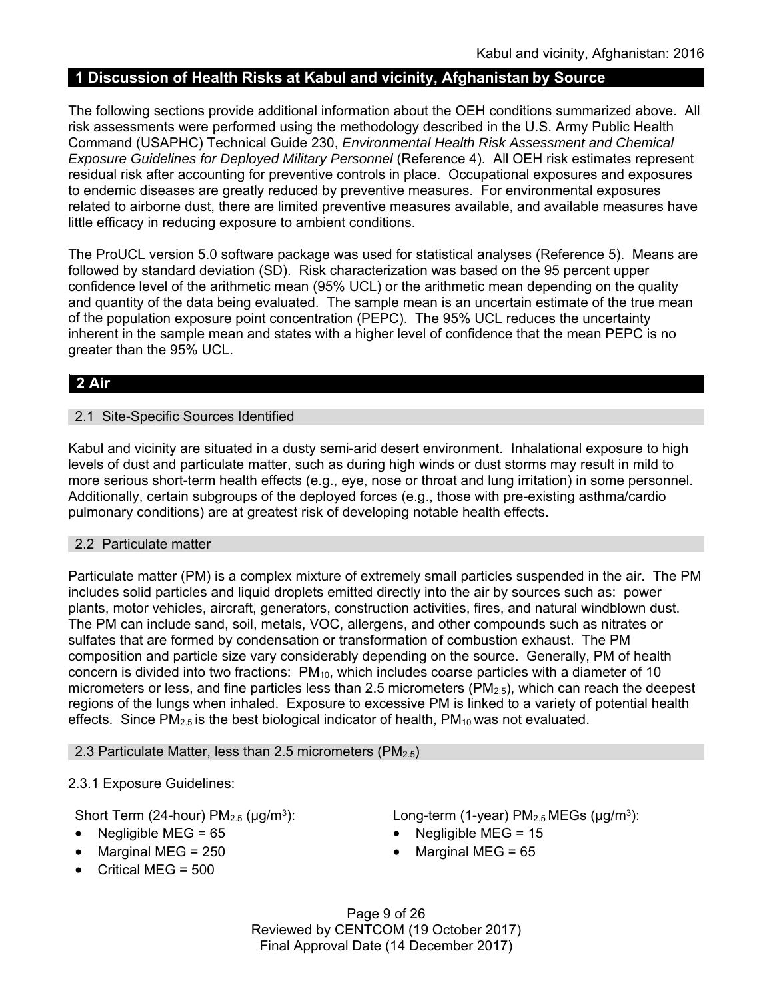# **1 Discussion of Health Risks at Kabul and vicinity, Afghanistan by Source**

The following sections provide additional information about the OEH conditions summarized above. All risk assessments were performed using the methodology described in the U.S. Army Public Health Command (USAPHC) Technical Guide 230, *Environmental Health Risk Assessment and Chemical Exposure Guidelines for Deployed Military Personnel* (Reference 4). All OEH risk estimates represent residual risk after accounting for preventive controls in place. Occupational exposures and exposures to endemic diseases are greatly reduced by preventive measures. For environmental exposures related to airborne dust, there are limited preventive measures available, and available measures have little efficacy in reducing exposure to ambient conditions.

The ProUCL version 5.0 software package was used for statistical analyses (Reference 5). Means are followed by standard deviation (SD). Risk characterization was based on the 95 percent upper confidence level of the arithmetic mean (95% UCL) or the arithmetic mean depending on the quality and quantity of the data being evaluated. The sample mean is an uncertain estimate of the true mean of the population exposure point concentration (PEPC). The 95% UCL reduces the uncertainty inherent in the sample mean and states with a higher level of confidence that the mean PEPC is no greater than the 95% UCL.

# **2 Air**

### 2.1 Site-Specific Sources Identified

Kabul and vicinity are situated in a dusty semi-arid desert environment. Inhalational exposure to high levels of dust and particulate matter, such as during high winds or dust storms may result in mild to more serious short-term health effects (e.g., eye, nose or throat and lung irritation) in some personnel. Additionally, certain subgroups of the deployed forces (e.g., those with pre-existing asthma/cardio pulmonary conditions) are at greatest risk of developing notable health effects.

### 2.2 Particulate matter

Particulate matter (PM) is a complex mixture of extremely small particles suspended in the air. The PM includes solid particles and liquid droplets emitted directly into the air by sources such as: power plants, motor vehicles, aircraft, generators, construction activities, fires, and natural windblown dust. The PM can include sand, soil, metals, VOC, allergens, and other compounds such as nitrates or sulfates that are formed by condensation or transformation of combustion exhaust. The PM composition and particle size vary considerably depending on the source. Generally, PM of health concern is divided into two fractions: PM<sub>10</sub>, which includes coarse particles with a diameter of 10 micrometers or less, and fine particles less than 2.5 micrometers ( $PM_{2.5}$ ), which can reach the deepest regions of the lungs when inhaled. Exposure to excessive PM is linked to a variety of potential health effects. Since  $PM_{2.5}$  is the best biological indicator of health,  $PM_{10}$  was not evaluated.

2.3 Particulate Matter, less than 2.5 micrometers ( $PM_{2.5}$ )

### 2.3.1 Exposure Guidelines:

- 
- Marginal MEG = 250 Marginal MEG = 65
- $\bullet$  Critical MEG = 500

Short Term (24-hour) PM<sub>2.5</sub> (μg/m<sup>3</sup>): Long-term (1-year) PM<sub>2.5</sub> MEGs (μg/m<sup>3</sup>):

- Negligible MEG = 65 Negligible MEG = 15
	-

Page 9 of 26 Reviewed by CENTCOM (19 October 2017) Final Approval Date (14 December 2017)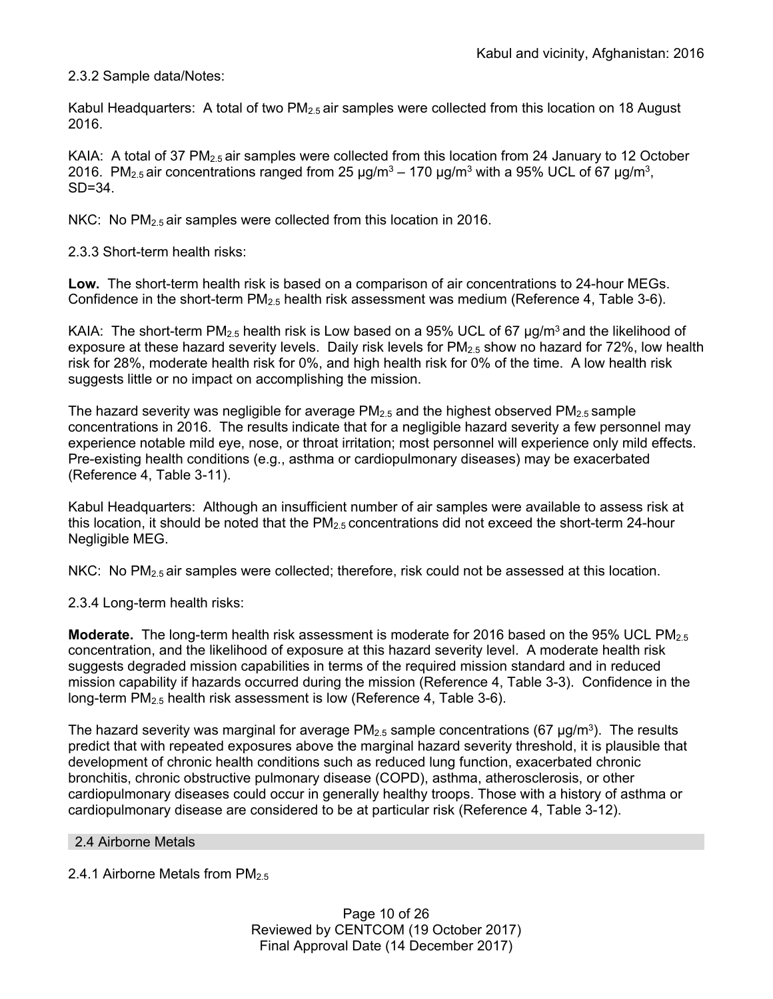2.3.2 Sample data/Notes:

Kabul Headquarters: A total of two  $PM_{2.5}$  air samples were collected from this location on 18 August 2016.

KAIA: A total of 37 PM<sub>2.5</sub> air samples were collected from this location from 24 January to 12 October 2016. PM<sub>2.5</sub> air concentrations ranged from 25  $\mu$ g/m<sup>3</sup> – 170  $\mu$ g/m<sup>3</sup> with a 95% UCL of 67  $\mu$ g/m<sup>3</sup>, SD=34.

NKC: No PM<sub>2.5</sub> air samples were collected from this location in 2016.

2.3.3 Short-term health risks:

**Low.** The short-term health risk is based on a comparison of air concentrations to 24-hour MEGs. Confidence in the short-term  $PM_{2.5}$  health risk assessment was medium (Reference 4, Table 3-6).

KAIA: The short-term PM<sub>2.5</sub> health risk is Low based on a 95% UCL of 67  $\mu$ g/m<sup>3</sup> and the likelihood of exposure at these hazard severity levels. Daily risk levels for PM<sub>2.5</sub> show no hazard for 72%, low health risk for 28%, moderate health risk for 0%, and high health risk for 0% of the time. A low health risk suggests little or no impact on accomplishing the mission.

The hazard severity was negligible for average  $PM_{2.5}$  and the highest observed  $PM_{2.5}$  sample concentrations in 2016. The results indicate that for a negligible hazard severity a few personnel may experience notable mild eye, nose, or throat irritation; most personnel will experience only mild effects. Pre-existing health conditions (e.g., asthma or cardiopulmonary diseases) may be exacerbated (Reference 4, Table 3-11).

Kabul Headquarters: Although an insufficient number of air samples were available to assess risk at this location, it should be noted that the  $PM_{2.5}$  concentrations did not exceed the short-term 24-hour Negligible MEG.

NKC: No  $PM_{2.5}$  air samples were collected; therefore, risk could not be assessed at this location.

2.3.4 Long-term health risks:

**Moderate.** The long-term health risk assessment is moderate for 2016 based on the 95% UCL PM<sub>2.5</sub> concentration, and the likelihood of exposure at this hazard severity level. A moderate health risk suggests degraded mission capabilities in terms of the required mission standard and in reduced mission capability if hazards occurred during the mission (Reference 4, Table 3-3). Confidence in the long-term PM2.5 health risk assessment is low (Reference 4, Table 3-6).

The hazard severity was marginal for average  $PM_{2.5}$  sample concentrations (67 µg/m<sup>3</sup>). The results predict that with repeated exposures above the marginal hazard severity threshold, it is plausible that development of chronic health conditions such as reduced lung function, exacerbated chronic bronchitis, chronic obstructive pulmonary disease (COPD), asthma, atherosclerosis, or other cardiopulmonary diseases could occur in generally healthy troops. Those with a history of asthma or cardiopulmonary disease are considered to be at particular risk (Reference 4, Table 3-12).

2.4 Airborne Metals

2.4.1 Airborne Metals from PM<sub>2.5</sub>

Page 10 of 26 Reviewed by CENTCOM (19 October 2017) Final Approval Date (14 December 2017)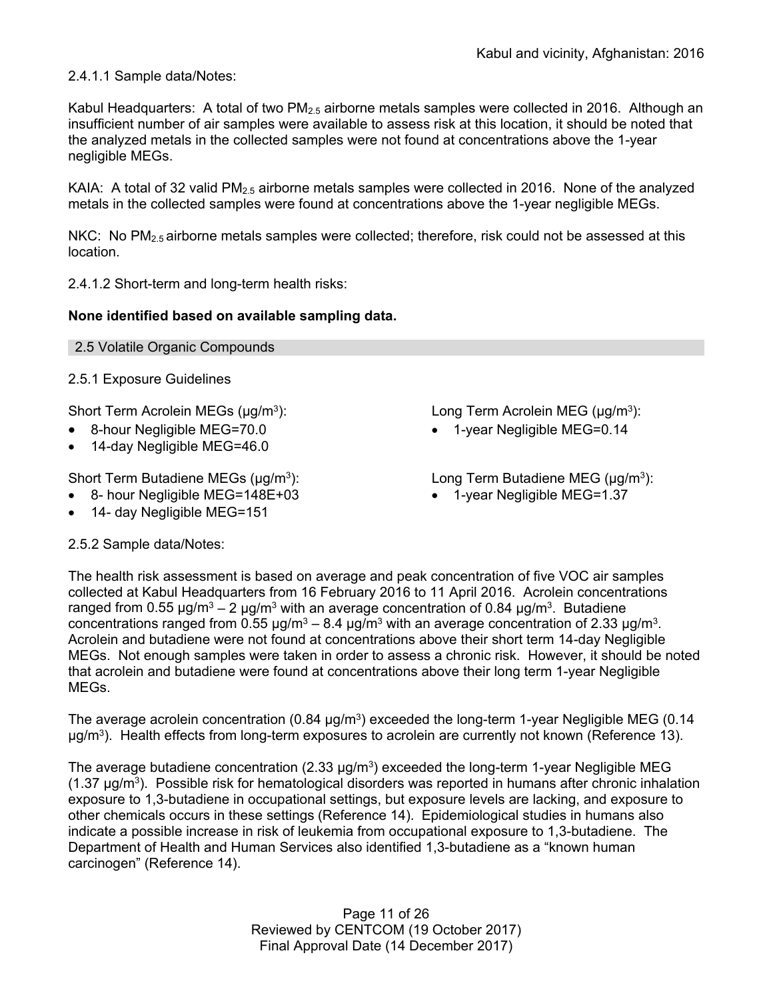2.4.1.1 Sample data/Notes:

Kabul Headquarters: A total of two  $PM_{2.5}$  airborne metals samples were collected in 2016. Although an insufficient number of air samples were available to assess risk at this location, it should be noted that the analyzed metals in the collected samples were not found at concentrations above the 1-year negligible MEGs.

KAIA: A total of 32 valid  $PM_{2.5}$  airborne metals samples were collected in 2016. None of the analyzed metals in the collected samples were found at concentrations above the 1-year negligible MEGs.

NKC: No  $PM_{2.5}$  airborne metals samples were collected; therefore, risk could not be assessed at this location.

2.4.1.2 Short-term and long-term health risks:

### **None identified based on available sampling data.**

2.5.1 Exposure Guidelines

Short Term Acrolein MEGs (μg/m<sup>3</sup>): Long Term Acrolein MEG (μg/m<sup>3</sup>):

- 8-hour Negligible MEG=70.0 1-year Negligible MEG=0.14
- 14-day Negligible MEG=46.0

Short Term Butadiene MEGs  $(\mu g/m^3)$ : Long Term Butadiene MEG  $(\mu g/m^3)$ :

- 8- hour Negligible MEG=148E+03 1-year Negligible MEG=1.37
- 14- day Negligible MEG=151

2.5.2 Sample data/Notes:

- 
- 

The health risk assessment is based on average and peak concentration of five VOC air samples collected at Kabul Headquarters from 16 February 2016 to 11 April 2016. Acrolein concentrations ranged from 0.55 μg/m<sup>3</sup> – 2 μg/m<sup>3</sup> with an average concentration of 0.84 μg/m<sup>3</sup>. Butadiene concentrations ranged from 0.55  $\mu$ g/m<sup>3</sup> – 8.4  $\mu$ g/m<sup>3</sup> with an average concentration of 2.33  $\mu$ g/m<sup>3</sup>. Acrolein and butadiene were not found at concentrations above their short term 14-day Negligible MEGs. Not enough samples were taken in order to assess a chronic risk. However, it should be noted that acrolein and butadiene were found at concentrations above their long term 1-year Negligible MEGs.

The average acrolein concentration (0.84  $\mu$ g/m<sup>3</sup>) exceeded the long-term 1-year Negligible MEG (0.14  $\mu$ g/m<sup>3</sup>). Health effects from long-term exposures to acrolein are currently not known (Reference 13).

The average butadiene concentration  $(2.33 \mu q/m^3)$  exceeded the long-term 1-year Negligible MEG  $(1.37 \,\mu\text{g/m}^3)$ . Possible risk for hematological disorders was reported in humans after chronic inhalation exposure to 1,3-butadiene in occupational settings, but exposure levels are lacking, and exposure to other chemicals occurs in these settings (Reference 14). Epidemiological studies in humans also indicate a possible increase in risk of leukemia from occupational exposure to 1,3-butadiene. The Department of Health and Human Services also identified 1,3-butadiene as a "known human carcinogen" (Reference 14).

> Page 11 of 26 Reviewed by CENTCOM (19 October 2017) Final Approval Date (14 December 2017)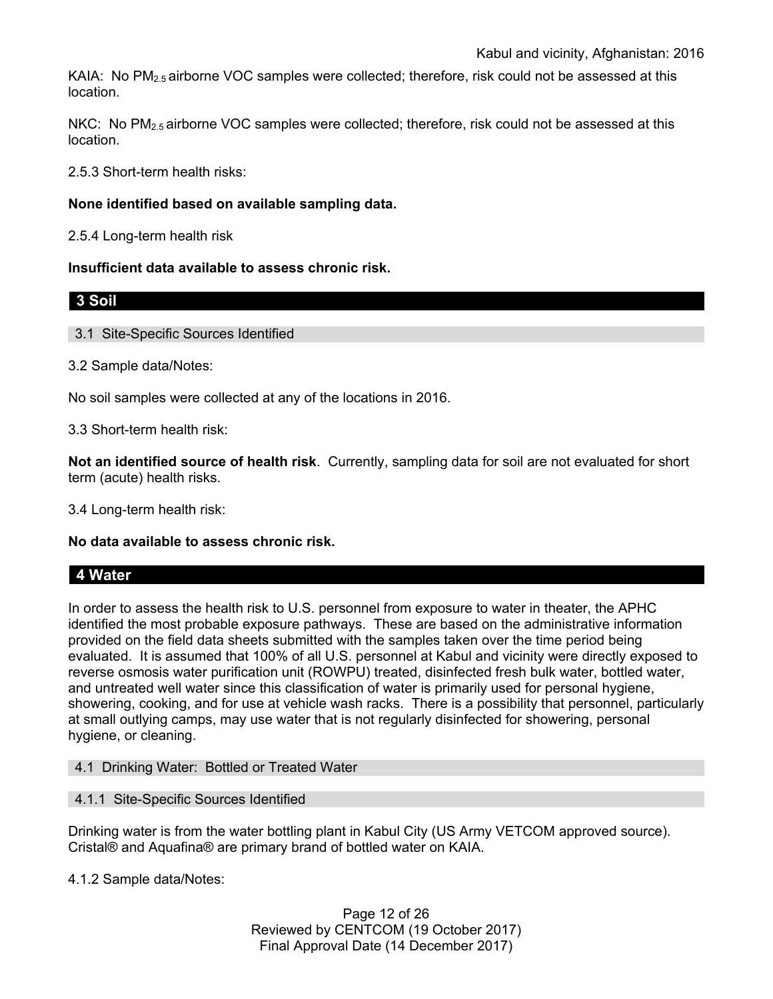KAIA: No  $PM<sub>2.5</sub>$  airborne VOC samples were collected; therefore, risk could not be assessed at this location.

NKC: No PM<sub>2.5</sub> airborne VOC samples were collected; therefore, risk could not be assessed at this location.

2.5.3 Short-term health risks:

### **None identified based on available sampling data.**

2.5.4 Long-term health risk

#### **Insufficient data available to assess chronic risk.**

**3 Soil** 

3.1 Site-Specific Sources Identified

3.2 Sample data/Notes:

No soil samples were collected at any of the locations in 2016.

3.3 Short-term health risk:

**Not an identified source of health risk**. Currently, sampling data for soil are not evaluated for short term (acute) health risks.

3.4 Long-term health risk:

**No data available to assess chronic risk.** 

# **4 Water**

In order to assess the health risk to U.S. personnel from exposure to water in theater, the APHC identified the most probable exposure pathways. These are based on the administrative information provided on the field data sheets submitted with the samples taken over the time period being evaluated. It is assumed that 100% of all U.S. personnel at Kabul and vicinity were directly exposed to reverse osmosis water purification unit (ROWPU) treated, disinfected fresh bulk water, bottled water, and untreated well water since this classification of water is primarily used for personal hygiene, showering, cooking, and for use at vehicle wash racks. There is a possibility that personnel, particularly at small outlying camps, may use water that is not regularly disinfected for showering, personal hygiene, or cleaning.

4.1 Drinking Water: Bottled or Treated Water

4.1.1 Site-Specific Sources Identified

Drinking water is from the water bottling plant in Kabul City (US Army VETCOM approved source). Cristal® and Aquafina® are primary brand of bottled water on KAIA.

4.1.2 Sample data/Notes:

Page 12 of 26 Reviewed by CENTCOM (19 October 2017) Final Approval Date (14 December 2017)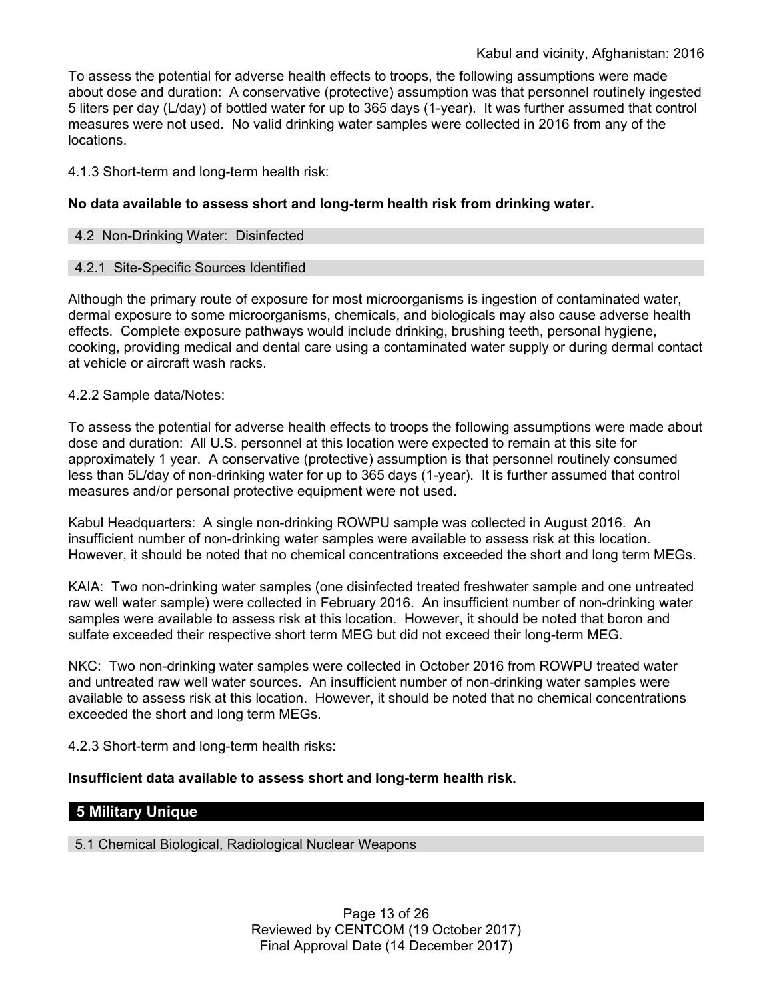To assess the potential for adverse health effects to troops, the following assumptions were made about dose and duration: A conservative (protective) assumption was that personnel routinely ingested 5 liters per day (L/day) of bottled water for up to 365 days (1-year). It was further assumed that control measures were not used. No valid drinking water samples were collected in 2016 from any of the locations.

4.1.3 Short-term and long-term health risk:

### **No data available to assess short and long-term health risk from drinking water.**

#### 4.2 Non-Drinking Water: Disinfected

#### 4.2.1 Site-Specific Sources Identified

Although the primary route of exposure for most microorganisms is ingestion of contaminated water, dermal exposure to some microorganisms, chemicals, and biologicals may also cause adverse health effects. Complete exposure pathways would include drinking, brushing teeth, personal hygiene, cooking, providing medical and dental care using a contaminated water supply or during dermal contact at vehicle or aircraft wash racks.

#### 4.2.2 Sample data/Notes:

To assess the potential for adverse health effects to troops the following assumptions were made about dose and duration: All U.S. personnel at this location were expected to remain at this site for approximately 1 year. A conservative (protective) assumption is that personnel routinely consumed less than 5L/day of non-drinking water for up to 365 days (1-year). It is further assumed that control measures and/or personal protective equipment were not used.

Kabul Headquarters: A single non-drinking ROWPU sample was collected in August 2016. An insufficient number of non-drinking water samples were available to assess risk at this location. However, it should be noted that no chemical concentrations exceeded the short and long term MEGs.

KAIA: Two non-drinking water samples (one disinfected treated freshwater sample and one untreated raw well water sample) were collected in February 2016. An insufficient number of non-drinking water samples were available to assess risk at this location. However, it should be noted that boron and sulfate exceeded their respective short term MEG but did not exceed their long-term MEG.

NKC: Two non-drinking water samples were collected in October 2016 from ROWPU treated water and untreated raw well water sources. An insufficient number of non-drinking water samples were available to assess risk at this location. However, it should be noted that no chemical concentrations exceeded the short and long term MEGs.

4.2.3 Short-term and long-term health risks:

### **Insufficient data available to assess short and long-term health risk.**

### **5 Military Unique**

5.1 Chemical Biological, Radiological Nuclear Weapons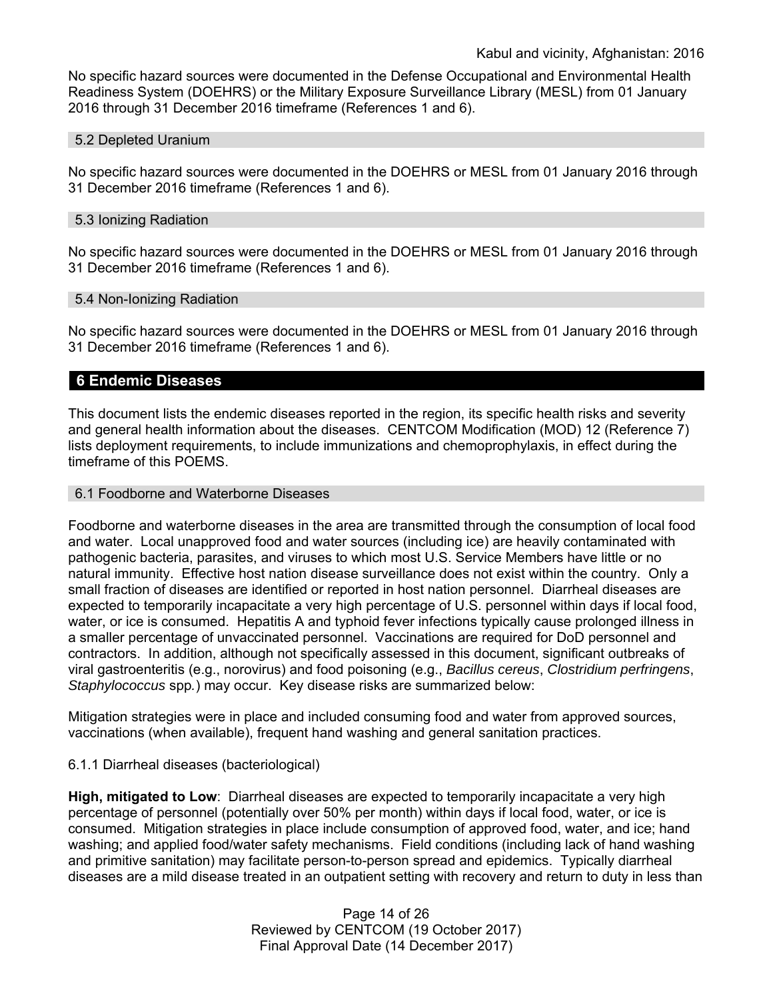No specific hazard sources were documented in the Defense Occupational and Environmental Health Readiness System (DOEHRS) or the Military Exposure Surveillance Library (MESL) from 01 January 2016 through 31 December 2016 timeframe (References 1 and 6).

#### 5.2 Depleted Uranium

No specific hazard sources were documented in the DOEHRS or MESL from 01 January 2016 through 31 December 2016 timeframe (References 1 and 6).

#### 5.3 Ionizing Radiation

No specific hazard sources were documented in the DOEHRS or MESL from 01 January 2016 through 31 December 2016 timeframe (References 1 and 6).

#### 5.4 Non-Ionizing Radiation

No specific hazard sources were documented in the DOEHRS or MESL from 01 January 2016 through 31 December 2016 timeframe (References 1 and 6).

#### **6 Endemic Diseases**

This document lists the endemic diseases reported in the region, its specific health risks and severity and general health information about the diseases. CENTCOM Modification (MOD) 12 (Reference 7) lists deployment requirements, to include immunizations and chemoprophylaxis, in effect during the timeframe of this POEMS.

#### 6.1 Foodborne and Waterborne Diseases

Foodborne and waterborne diseases in the area are transmitted through the consumption of local food and water. Local unapproved food and water sources (including ice) are heavily contaminated with pathogenic bacteria, parasites, and viruses to which most U.S. Service Members have little or no natural immunity. Effective host nation disease surveillance does not exist within the country. Only a small fraction of diseases are identified or reported in host nation personnel. Diarrheal diseases are expected to temporarily incapacitate a very high percentage of U.S. personnel within days if local food, water, or ice is consumed. Hepatitis A and typhoid fever infections typically cause prolonged illness in a smaller percentage of unvaccinated personnel. Vaccinations are required for DoD personnel and contractors. In addition, although not specifically assessed in this document, significant outbreaks of viral gastroenteritis (e.g., norovirus) and food poisoning (e.g., *Bacillus cereus*, *Clostridium perfringens*, *Staphylococcus* spp*.*) may occur. Key disease risks are summarized below:

Mitigation strategies were in place and included consuming food and water from approved sources, vaccinations (when available), frequent hand washing and general sanitation practices.

#### 6.1.1 Diarrheal diseases (bacteriological)

**High, mitigated to Low**: Diarrheal diseases are expected to temporarily incapacitate a very high percentage of personnel (potentially over 50% per month) within days if local food, water, or ice is consumed. Mitigation strategies in place include consumption of approved food, water, and ice; hand washing; and applied food/water safety mechanisms. Field conditions (including lack of hand washing and primitive sanitation) may facilitate person-to-person spread and epidemics. Typically diarrheal diseases are a mild disease treated in an outpatient setting with recovery and return to duty in less than

> Page 14 of 26 Reviewed by CENTCOM (19 October 2017) Final Approval Date (14 December 2017)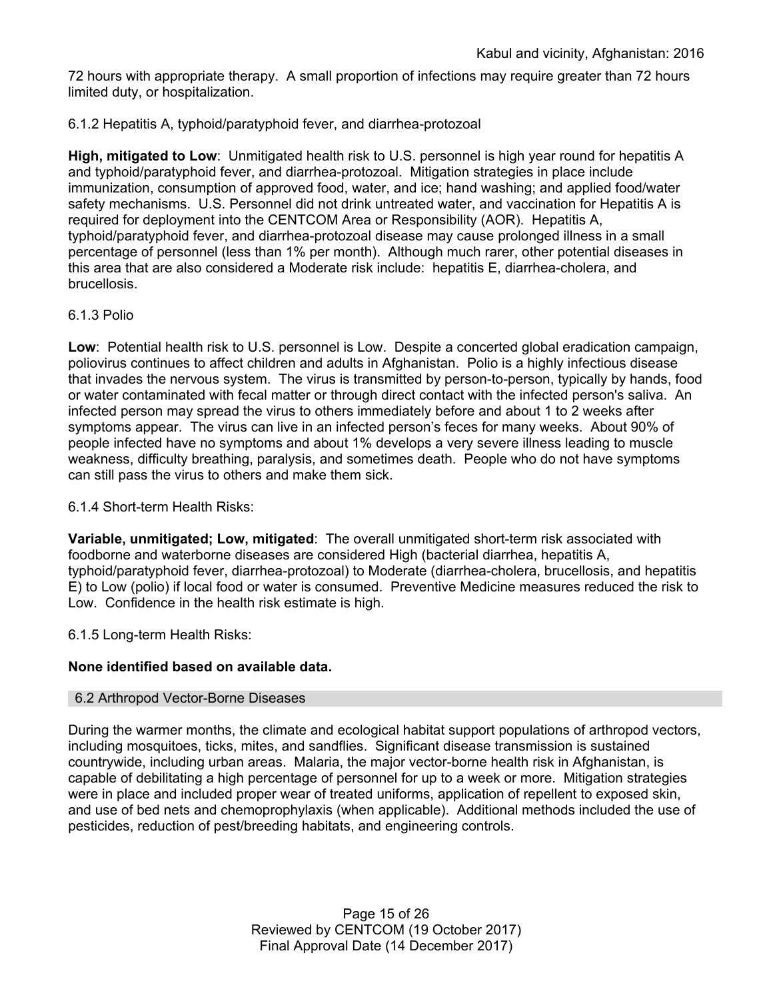72 hours with appropriate therapy. A small proportion of infections may require greater than 72 hours limited duty, or hospitalization.

### 6.1.2 Hepatitis A, typhoid/paratyphoid fever, and diarrhea-protozoal

**High, mitigated to Low**: Unmitigated health risk to U.S. personnel is high year round for hepatitis A and typhoid/paratyphoid fever, and diarrhea-protozoal. Mitigation strategies in place include immunization, consumption of approved food, water, and ice; hand washing; and applied food/water safety mechanisms. U.S. Personnel did not drink untreated water, and vaccination for Hepatitis A is required for deployment into the CENTCOM Area or Responsibility (AOR). Hepatitis A, typhoid/paratyphoid fever, and diarrhea-protozoal disease may cause prolonged illness in a small percentage of personnel (less than 1% per month). Although much rarer, other potential diseases in this area that are also considered a Moderate risk include: hepatitis E, diarrhea-cholera, and brucellosis.

#### 6.1.3 Polio

**Low**: Potential health risk to U.S. personnel is Low. Despite a concerted global eradication campaign, poliovirus continues to affect children and adults in Afghanistan. Polio is a highly infectious disease that invades the nervous system. The virus is transmitted by person-to-person, typically by hands, food or water contaminated with fecal matter or through direct contact with the infected person's saliva. An infected person may spread the virus to others immediately before and about 1 to 2 weeks after symptoms appear. The virus can live in an infected person's feces for many weeks. About 90% of people infected have no symptoms and about 1% develops a very severe illness leading to muscle weakness, difficulty breathing, paralysis, and sometimes death. People who do not have symptoms can still pass the virus to others and make them sick.

6.1.4 Short-term Health Risks:

**Variable, unmitigated; Low, mitigated**: The overall unmitigated short-term risk associated with foodborne and waterborne diseases are considered High (bacterial diarrhea, hepatitis A, typhoid/paratyphoid fever, diarrhea-protozoal) to Moderate (diarrhea-cholera, brucellosis, and hepatitis E) to Low (polio) if local food or water is consumed. Preventive Medicine measures reduced the risk to Low. Confidence in the health risk estimate is high.

6.1.5 Long-term Health Risks:

### **None identified based on available data.**

#### 6.2 Arthropod Vector-Borne Diseases

During the warmer months, the climate and ecological habitat support populations of arthropod vectors, including mosquitoes, ticks, mites, and sandflies. Significant disease transmission is sustained countrywide, including urban areas. Malaria, the major vector-borne health risk in Afghanistan, is capable of debilitating a high percentage of personnel for up to a week or more. Mitigation strategies were in place and included proper wear of treated uniforms, application of repellent to exposed skin, and use of bed nets and chemoprophylaxis (when applicable). Additional methods included the use of pesticides, reduction of pest/breeding habitats, and engineering controls.

> Page 15 of 26 Reviewed by CENTCOM (19 October 2017) Final Approval Date (14 December 2017)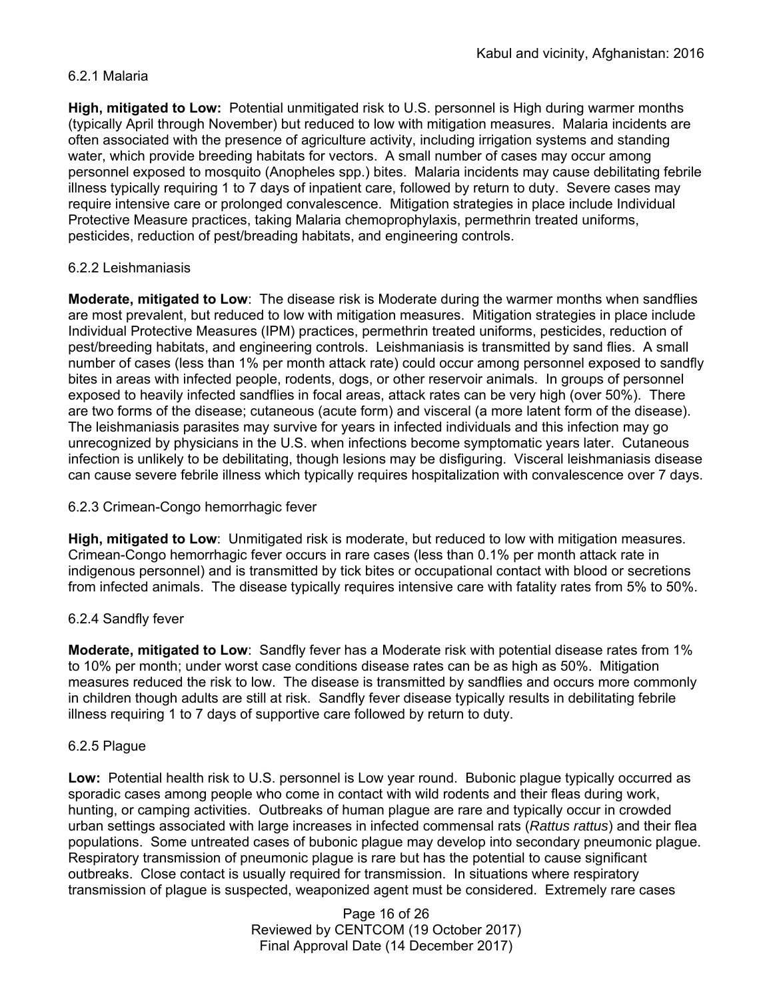### 6.2.1 Malaria

**High, mitigated to Low:** Potential unmitigated risk to U.S. personnel is High during warmer months (typically April through November) but reduced to low with mitigation measures. Malaria incidents are often associated with the presence of agriculture activity, including irrigation systems and standing water, which provide breeding habitats for vectors. A small number of cases may occur among personnel exposed to mosquito (Anopheles spp.) bites. Malaria incidents may cause debilitating febrile illness typically requiring 1 to 7 days of inpatient care, followed by return to duty. Severe cases may require intensive care or prolonged convalescence. Mitigation strategies in place include Individual Protective Measure practices, taking Malaria chemoprophylaxis, permethrin treated uniforms, pesticides, reduction of pest/breading habitats, and engineering controls.

### 6.2.2 Leishmaniasis

**Moderate, mitigated to Low**: The disease risk is Moderate during the warmer months when sandflies are most prevalent, but reduced to low with mitigation measures. Mitigation strategies in place include Individual Protective Measures (IPM) practices, permethrin treated uniforms, pesticides, reduction of pest/breeding habitats, and engineering controls. Leishmaniasis is transmitted by sand flies. A small number of cases (less than 1% per month attack rate) could occur among personnel exposed to sandfly bites in areas with infected people, rodents, dogs, or other reservoir animals. In groups of personnel exposed to heavily infected sandflies in focal areas, attack rates can be very high (over 50%). There are two forms of the disease; cutaneous (acute form) and visceral (a more latent form of the disease). The leishmaniasis parasites may survive for years in infected individuals and this infection may go unrecognized by physicians in the U.S. when infections become symptomatic years later. Cutaneous infection is unlikely to be debilitating, though lesions may be disfiguring. Visceral leishmaniasis disease can cause severe febrile illness which typically requires hospitalization with convalescence over 7 days.

### 6.2.3 Crimean-Congo hemorrhagic fever

**High, mitigated to Low**: Unmitigated risk is moderate, but reduced to low with mitigation measures. Crimean-Congo hemorrhagic fever occurs in rare cases (less than 0.1% per month attack rate in indigenous personnel) and is transmitted by tick bites or occupational contact with blood or secretions from infected animals. The disease typically requires intensive care with fatality rates from 5% to 50%.

# 6.2.4 Sandfly fever

**Moderate, mitigated to Low**: Sandfly fever has a Moderate risk with potential disease rates from 1% to 10% per month; under worst case conditions disease rates can be as high as 50%. Mitigation measures reduced the risk to low. The disease is transmitted by sandflies and occurs more commonly in children though adults are still at risk. Sandfly fever disease typically results in debilitating febrile illness requiring 1 to 7 days of supportive care followed by return to duty.

### 6.2.5 Plague

**Low:** Potential health risk to U.S. personnel is Low year round. Bubonic plague typically occurred as sporadic cases among people who come in contact with wild rodents and their fleas during work, hunting, or camping activities. Outbreaks of human plague are rare and typically occur in crowded urban settings associated with large increases in infected commensal rats (*Rattus rattus*) and their flea populations. Some untreated cases of bubonic plague may develop into secondary pneumonic plague. Respiratory transmission of pneumonic plague is rare but has the potential to cause significant outbreaks. Close contact is usually required for transmission. In situations where respiratory transmission of plague is suspected, weaponized agent must be considered. Extremely rare cases

> Page 16 of 26 Reviewed by CENTCOM (19 October 2017) Final Approval Date (14 December 2017)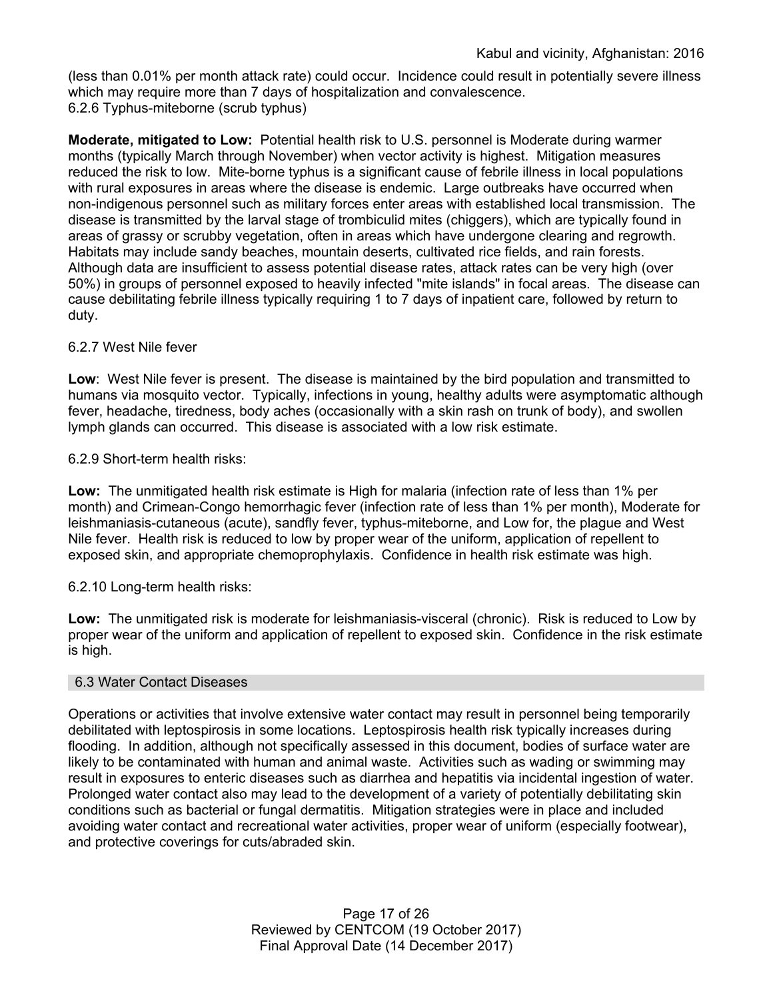(less than 0.01% per month attack rate) could occur. Incidence could result in potentially severe illness which may require more than 7 days of hospitalization and convalescence. 6.2.6 Typhus-miteborne (scrub typhus)

**Moderate, mitigated to Low:** Potential health risk to U.S. personnel is Moderate during warmer months (typically March through November) when vector activity is highest. Mitigation measures reduced the risk to low. Mite-borne typhus is a significant cause of febrile illness in local populations with rural exposures in areas where the disease is endemic. Large outbreaks have occurred when non-indigenous personnel such as military forces enter areas with established local transmission. The disease is transmitted by the larval stage of trombiculid mites (chiggers), which are typically found in areas of grassy or scrubby vegetation, often in areas which have undergone clearing and regrowth. Habitats may include sandy beaches, mountain deserts, cultivated rice fields, and rain forests. Although data are insufficient to assess potential disease rates, attack rates can be very high (over 50%) in groups of personnel exposed to heavily infected "mite islands" in focal areas. The disease can cause debilitating febrile illness typically requiring 1 to 7 days of inpatient care, followed by return to duty.

### 6.2.7 West Nile fever

**Low**: West Nile fever is present. The disease is maintained by the bird population and transmitted to humans via mosquito vector. Typically, infections in young, healthy adults were asymptomatic although fever, headache, tiredness, body aches (occasionally with a skin rash on trunk of body), and swollen lymph glands can occurred. This disease is associated with a low risk estimate.

6.2.9 Short-term health risks:

**Low:** The unmitigated health risk estimate is High for malaria (infection rate of less than 1% per month) and Crimean-Congo hemorrhagic fever (infection rate of less than 1% per month), Moderate for leishmaniasis-cutaneous (acute), sandfly fever, typhus-miteborne, and Low for, the plague and West Nile fever. Health risk is reduced to low by proper wear of the uniform, application of repellent to exposed skin, and appropriate chemoprophylaxis. Confidence in health risk estimate was high.

6.2.10 Long-term health risks:

**Low:** The unmitigated risk is moderate for leishmaniasis-visceral (chronic). Risk is reduced to Low by proper wear of the uniform and application of repellent to exposed skin. Confidence in the risk estimate is high.

#### 6.3 Water Contact Diseases

Operations or activities that involve extensive water contact may result in personnel being temporarily debilitated with leptospirosis in some locations. Leptospirosis health risk typically increases during flooding. In addition, although not specifically assessed in this document, bodies of surface water are likely to be contaminated with human and animal waste. Activities such as wading or swimming may result in exposures to enteric diseases such as diarrhea and hepatitis via incidental ingestion of water. Prolonged water contact also may lead to the development of a variety of potentially debilitating skin conditions such as bacterial or fungal dermatitis. Mitigation strategies were in place and included avoiding water contact and recreational water activities, proper wear of uniform (especially footwear), and protective coverings for cuts/abraded skin.

> Page 17 of 26 Reviewed by CENTCOM (19 October 2017) Final Approval Date (14 December 2017)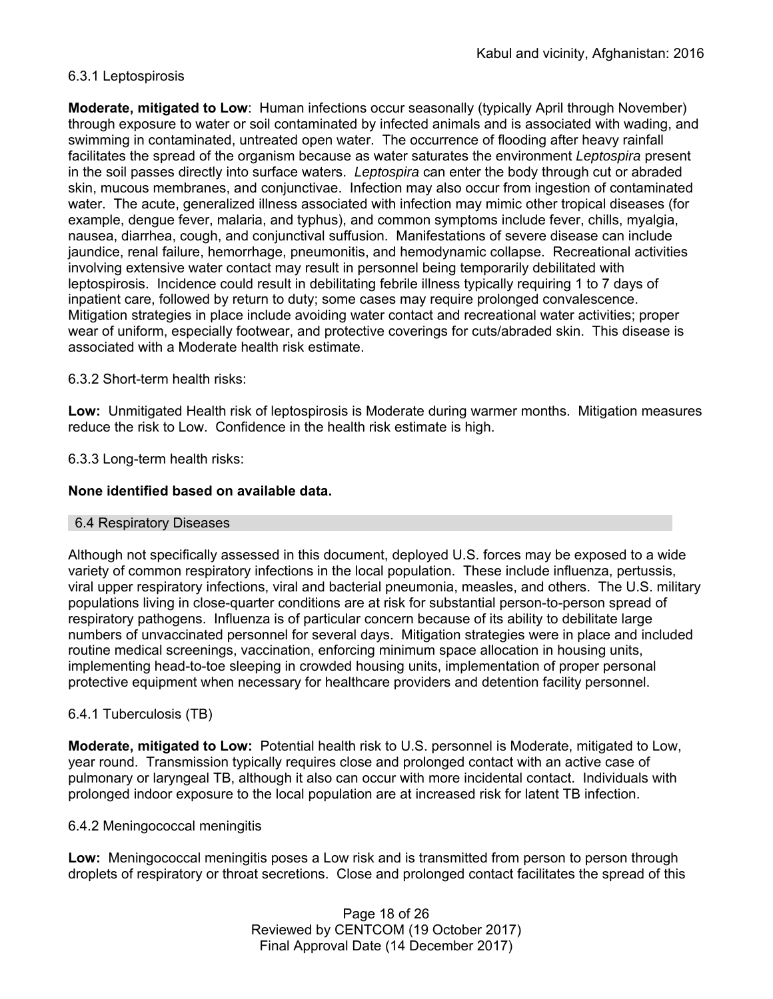### 6.3.1 Leptospirosis

**Moderate, mitigated to Low**: Human infections occur seasonally (typically April through November) through exposure to water or soil contaminated by infected animals and is associated with wading, and swimming in contaminated, untreated open water. The occurrence of flooding after heavy rainfall facilitates the spread of the organism because as water saturates the environment *Leptospira* present in the soil passes directly into surface waters. *Leptospira* can enter the body through cut or abraded skin, mucous membranes, and conjunctivae. Infection may also occur from ingestion of contaminated water. The acute, generalized illness associated with infection may mimic other tropical diseases (for example, dengue fever, malaria, and typhus), and common symptoms include fever, chills, myalgia, nausea, diarrhea, cough, and conjunctival suffusion. Manifestations of severe disease can include jaundice, renal failure, hemorrhage, pneumonitis, and hemodynamic collapse. Recreational activities involving extensive water contact may result in personnel being temporarily debilitated with leptospirosis. Incidence could result in debilitating febrile illness typically requiring 1 to 7 days of inpatient care, followed by return to duty; some cases may require prolonged convalescence. Mitigation strategies in place include avoiding water contact and recreational water activities; proper wear of uniform, especially footwear, and protective coverings for cuts/abraded skin. This disease is associated with a Moderate health risk estimate.

### 6.3.2 Short-term health risks:

**Low:** Unmitigated Health risk of leptospirosis is Moderate during warmer months. Mitigation measures reduce the risk to Low. Confidence in the health risk estimate is high.

### 6.3.3 Long-term health risks:

#### **None identified based on available data.**

### 6.4 Respiratory Diseases

Although not specifically assessed in this document, deployed U.S. forces may be exposed to a wide variety of common respiratory infections in the local population. These include influenza, pertussis, viral upper respiratory infections, viral and bacterial pneumonia, measles, and others. The U.S. military populations living in close-quarter conditions are at risk for substantial person-to-person spread of respiratory pathogens. Influenza is of particular concern because of its ability to debilitate large numbers of unvaccinated personnel for several days. Mitigation strategies were in place and included routine medical screenings, vaccination, enforcing minimum space allocation in housing units, implementing head-to-toe sleeping in crowded housing units, implementation of proper personal protective equipment when necessary for healthcare providers and detention facility personnel.

### 6.4.1 Tuberculosis (TB)

**Moderate, mitigated to Low:** Potential health risk to U.S. personnel is Moderate, mitigated to Low, year round. Transmission typically requires close and prolonged contact with an active case of pulmonary or laryngeal TB, although it also can occur with more incidental contact. Individuals with prolonged indoor exposure to the local population are at increased risk for latent TB infection.

#### 6.4.2 Meningococcal meningitis

**Low:** Meningococcal meningitis poses a Low risk and is transmitted from person to person through droplets of respiratory or throat secretions. Close and prolonged contact facilitates the spread of this

> Page 18 of 26 Reviewed by CENTCOM (19 October 2017) Final Approval Date (14 December 2017)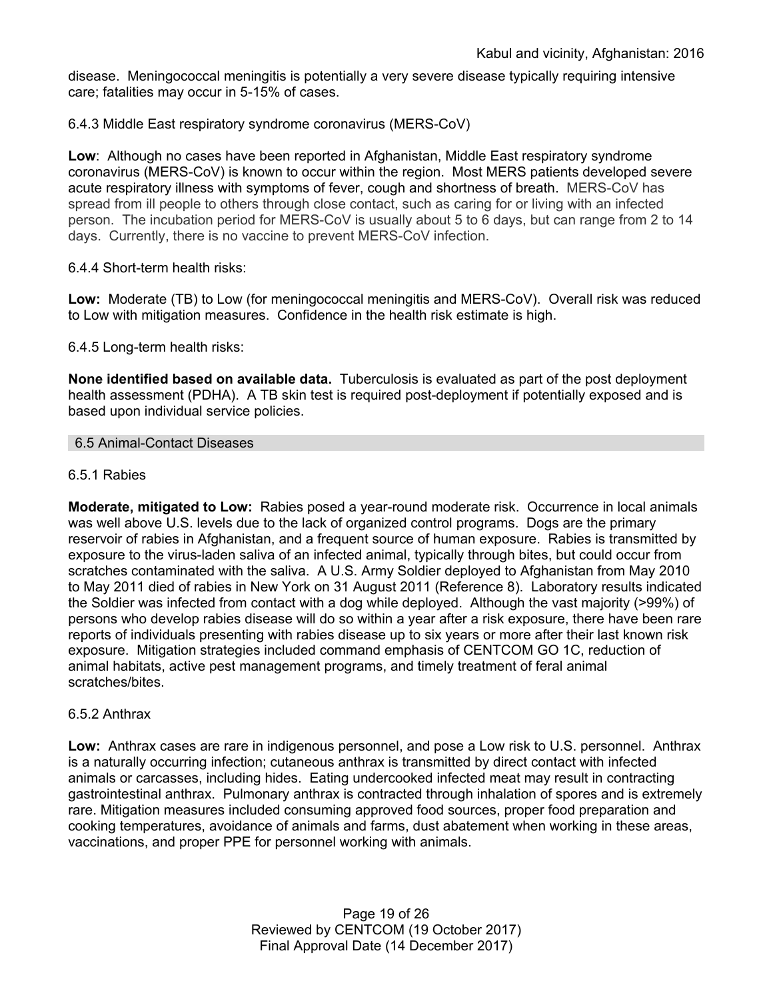disease. Meningococcal meningitis is potentially a very severe disease typically requiring intensive care; fatalities may occur in 5-15% of cases.

### 6.4.3 Middle East respiratory syndrome coronavirus (MERS-CoV)

**Low**: Although no cases have been reported in Afghanistan, Middle East respiratory syndrome coronavirus (MERS-CoV) is known to occur within the region. Most MERS patients developed severe acute respiratory illness with symptoms of fever, cough and shortness of breath. MERS-CoV has spread from ill people to others through close contact, such as caring for or living with an infected person. The incubation period for MERS-CoV is usually about 5 to 6 days, but can range from 2 to 14 days. Currently, there is no vaccine to prevent MERS-CoV infection.

### 6.4.4 Short-term health risks:

**Low:** Moderate (TB) to Low (for meningococcal meningitis and MERS-CoV). Overall risk was reduced to Low with mitigation measures. Confidence in the health risk estimate is high.

### 6.4.5 Long-term health risks:

**None identified based on available data.** Tuberculosis is evaluated as part of the post deployment health assessment (PDHA). A TB skin test is required post-deployment if potentially exposed and is based upon individual service policies.

### 6.5 Animal-Contact Diseases

### 6.5.1 Rabies

**Moderate, mitigated to Low:** Rabies posed a year-round moderate risk. Occurrence in local animals was well above U.S. levels due to the lack of organized control programs. Dogs are the primary reservoir of rabies in Afghanistan, and a frequent source of human exposure. Rabies is transmitted by exposure to the virus-laden saliva of an infected animal, typically through bites, but could occur from scratches contaminated with the saliva. A U.S. Army Soldier deployed to Afghanistan from May 2010 to May 2011 died of rabies in New York on 31 August 2011 (Reference 8). Laboratory results indicated the Soldier was infected from contact with a dog while deployed. Although the vast majority (>99%) of persons who develop rabies disease will do so within a year after a risk exposure, there have been rare reports of individuals presenting with rabies disease up to six years or more after their last known risk exposure. Mitigation strategies included command emphasis of CENTCOM GO 1C, reduction of animal habitats, active pest management programs, and timely treatment of feral animal scratches/bites.

### 6.5.2 Anthrax

**Low:** Anthrax cases are rare in indigenous personnel, and pose a Low risk to U.S. personnel. Anthrax is a naturally occurring infection; cutaneous anthrax is transmitted by direct contact with infected animals or carcasses, including hides. Eating undercooked infected meat may result in contracting gastrointestinal anthrax. Pulmonary anthrax is contracted through inhalation of spores and is extremely rare. Mitigation measures included consuming approved food sources, proper food preparation and cooking temperatures, avoidance of animals and farms, dust abatement when working in these areas, vaccinations, and proper PPE for personnel working with animals.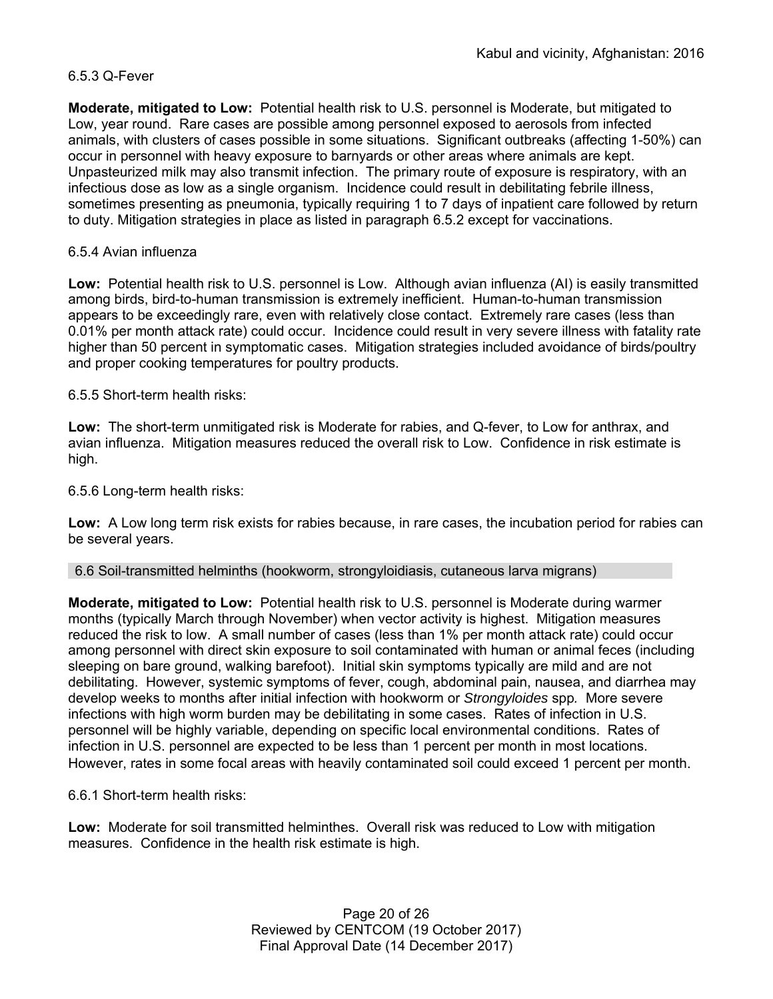### 6.5.3 Q-Fever

**Moderate, mitigated to Low:** Potential health risk to U.S. personnel is Moderate, but mitigated to Low, year round. Rare cases are possible among personnel exposed to aerosols from infected animals, with clusters of cases possible in some situations. Significant outbreaks (affecting 1-50%) can occur in personnel with heavy exposure to barnyards or other areas where animals are kept. Unpasteurized milk may also transmit infection. The primary route of exposure is respiratory, with an infectious dose as low as a single organism. Incidence could result in debilitating febrile illness, sometimes presenting as pneumonia, typically requiring 1 to 7 days of inpatient care followed by return to duty. Mitigation strategies in place as listed in paragraph 6.5.2 except for vaccinations.

### 6.5.4 Avian influenza

**Low:** Potential health risk to U.S. personnel is Low. Although avian influenza (AI) is easily transmitted among birds, bird-to-human transmission is extremely inefficient. Human-to-human transmission appears to be exceedingly rare, even with relatively close contact. Extremely rare cases (less than 0.01% per month attack rate) could occur. Incidence could result in very severe illness with fatality rate higher than 50 percent in symptomatic cases. Mitigation strategies included avoidance of birds/poultry and proper cooking temperatures for poultry products.

6.5.5 Short-term health risks:

**Low:** The short-term unmitigated risk is Moderate for rabies, and Q-fever, to Low for anthrax, and avian influenza. Mitigation measures reduced the overall risk to Low.Confidence in risk estimate is high.

6.5.6 Long-term health risks:

**Low:** A Low long term risk exists for rabies because, in rare cases, the incubation period for rabies can be several years.

6.6 Soil-transmitted helminths (hookworm, strongyloidiasis, cutaneous larva migrans)

**Moderate, mitigated to Low:** Potential health risk to U.S. personnel is Moderate during warmer months (typically March through November) when vector activity is highest. Mitigation measures reduced the risk to low. A small number of cases (less than 1% per month attack rate) could occur among personnel with direct skin exposure to soil contaminated with human or animal feces (including sleeping on bare ground, walking barefoot). Initial skin symptoms typically are mild and are not debilitating. However, systemic symptoms of fever, cough, abdominal pain, nausea, and diarrhea may develop weeks to months after initial infection with hookworm or *Strongyloides* spp*.* More severe infections with high worm burden may be debilitating in some cases. Rates of infection in U.S. personnel will be highly variable, depending on specific local environmental conditions. Rates of infection in U.S. personnel are expected to be less than 1 percent per month in most locations. However, rates in some focal areas with heavily contaminated soil could exceed 1 percent per month.

6.6.1 Short-term health risks:

**Low:** Moderate for soil transmitted helminthes. Overall risk was reduced to Low with mitigation measures. Confidence in the health risk estimate is high.

> Page 20 of 26 Reviewed by CENTCOM (19 October 2017) Final Approval Date (14 December 2017)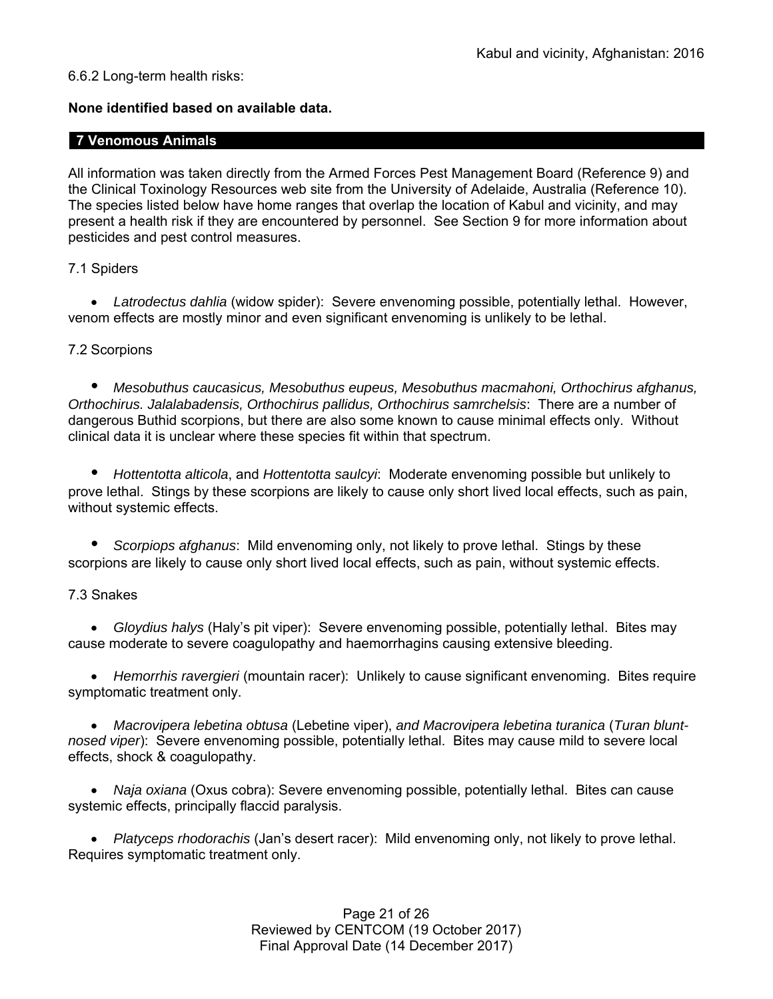### 6.6.2 Long-term health risks:

### **None identified based on available data.**

### **7 Venomous Animals**

All information was taken directly from the Armed Forces Pest Management Board (Reference 9) and the Clinical Toxinology Resources web site from the University of Adelaide, Australia (Reference 10). The species listed below have home ranges that overlap the location of Kabul and vicinity, and may present a health risk if they are encountered by personnel. See Section 9 for more information about pesticides and pest control measures.

### 7.1 Spiders

 *Latrodectus dahlia* (widow spider): Severe envenoming possible, potentially lethal. However, venom effects are mostly minor and even significant envenoming is unlikely to be lethal.

### 7.2 Scorpions

*• Mesobuthus caucasicus, Mesobuthus eupeus, Mesobuthus macmahoni, Orthochirus afghanus, Orthochirus. Jalalabadensis, Orthochirus pallidus, Orthochirus samrchelsis*: There are a number of dangerous Buthid scorpions, but there are also some known to cause minimal effects only. Without clinical data it is unclear where these species fit within that spectrum.

*• Hottentotta alticola*, and *Hottentotta saulcyi*: Moderate envenoming possible but unlikely to prove lethal. Stings by these scorpions are likely to cause only short lived local effects, such as pain, without systemic effects.

*• Scorpiops afghanus*: Mild envenoming only, not likely to prove lethal. Stings by these scorpions are likely to cause only short lived local effects, such as pain, without systemic effects.

### 7.3 Snakes

 *Gloydius halys* (Haly's pit viper): Severe envenoming possible, potentially lethal. Bites may cause moderate to severe coagulopathy and haemorrhagins causing extensive bleeding.

 *Hemorrhis ravergieri* (mountain racer): Unlikely to cause significant envenoming. Bites require symptomatic treatment only.

 *Macrovipera lebetina obtusa* (Lebetine viper), *and Macrovipera lebetina turanica* (*Turan bluntnosed viper*): Severe envenoming possible, potentially lethal. Bites may cause mild to severe local effects, shock & coagulopathy.

 *Naja oxiana* (Oxus cobra): Severe envenoming possible, potentially lethal. Bites can cause systemic effects, principally flaccid paralysis.

 *Platyceps rhodorachis* (Jan's desert racer): Mild envenoming only, not likely to prove lethal. Requires symptomatic treatment only.

> Page 21 of 26 Reviewed by CENTCOM (19 October 2017) Final Approval Date (14 December 2017)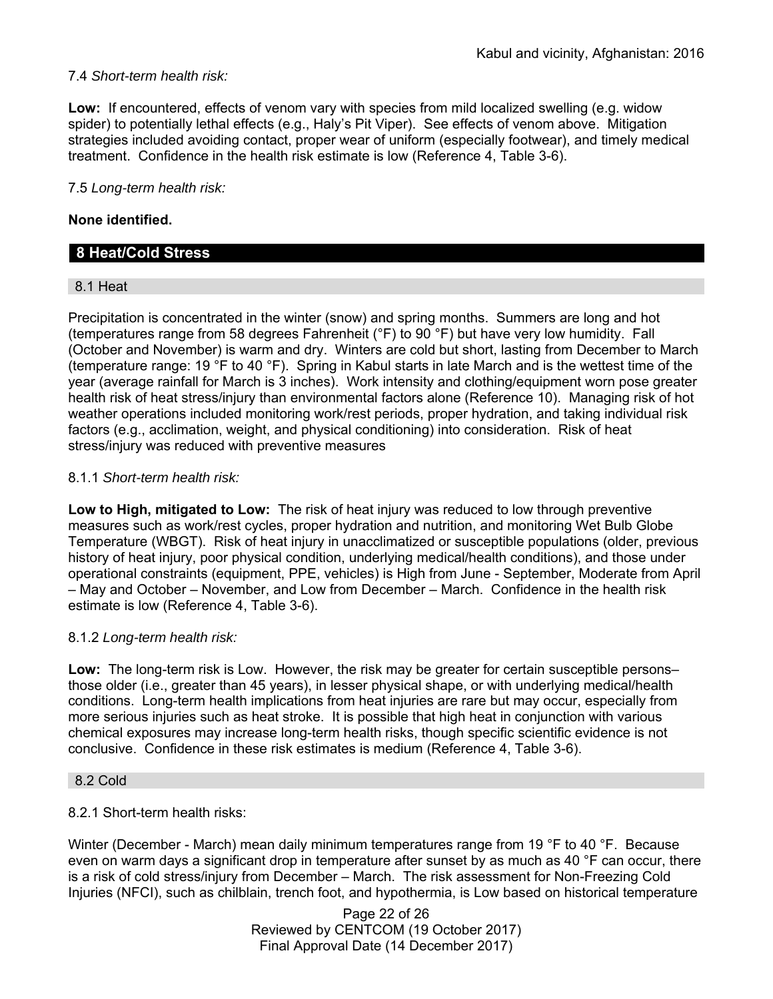### 7.4 *Short-term health risk:*

**Low:** If encountered, effects of venom vary with species from mild localized swelling (e.g. widow spider) to potentially lethal effects (e.g., Haly's Pit Viper). See effects of venom above. Mitigation strategies included avoiding contact, proper wear of uniform (especially footwear), and timely medical treatment. Confidence in the health risk estimate is low (Reference 4, Table 3-6).

### 7.5 *Long-term health risk:*

### **None identified.**

# **8 Heat/Cold Stress**

#### 8.1 Heat

Precipitation is concentrated in the winter (snow) and spring months. Summers are long and hot (temperatures range from 58 degrees Fahrenheit (°F) to 90 °F) but have very low humidity. Fall (October and November) is warm and dry. Winters are cold but short, lasting from December to March (temperature range: 19 °F to 40 °F). Spring in Kabul starts in late March and is the wettest time of the year (average rainfall for March is 3 inches). Work intensity and clothing/equipment worn pose greater health risk of heat stress/injury than environmental factors alone (Reference 10). Managing risk of hot weather operations included monitoring work/rest periods, proper hydration, and taking individual risk factors (e.g., acclimation, weight, and physical conditioning) into consideration. Risk of heat stress/injury was reduced with preventive measures

#### 8.1.1 *Short-term health risk:*

**Low to High, mitigated to Low:** The risk of heat injury was reduced to low through preventive measures such as work/rest cycles, proper hydration and nutrition, and monitoring Wet Bulb Globe Temperature (WBGT). Risk of heat injury in unacclimatized or susceptible populations (older, previous history of heat injury, poor physical condition, underlying medical/health conditions), and those under operational constraints (equipment, PPE, vehicles) is High from June - September, Moderate from April – May and October – November, and Low from December – March. Confidence in the health risk estimate is low (Reference 4, Table 3-6).

### 8.1.2 *Long-term health risk:*

**Low:** The long-term risk is Low. However, the risk may be greater for certain susceptible persons– those older (i.e., greater than 45 years), in lesser physical shape, or with underlying medical/health conditions. Long-term health implications from heat injuries are rare but may occur, especially from more serious injuries such as heat stroke. It is possible that high heat in conjunction with various chemical exposures may increase long-term health risks, though specific scientific evidence is not conclusive. Confidence in these risk estimates is medium (Reference 4, Table 3-6).

#### 8.2 Cold

8.2.1 Short-term health risks:

Winter (December - March) mean daily minimum temperatures range from 19 °F to 40 °F. Because even on warm days a significant drop in temperature after sunset by as much as 40 °F can occur, there is a risk of cold stress/injury from December – March. The risk assessment for Non-Freezing Cold Injuries (NFCI), such as chilblain, trench foot, and hypothermia, is Low based on historical temperature

> Page 22 of 26 Reviewed by CENTCOM (19 October 2017) Final Approval Date (14 December 2017)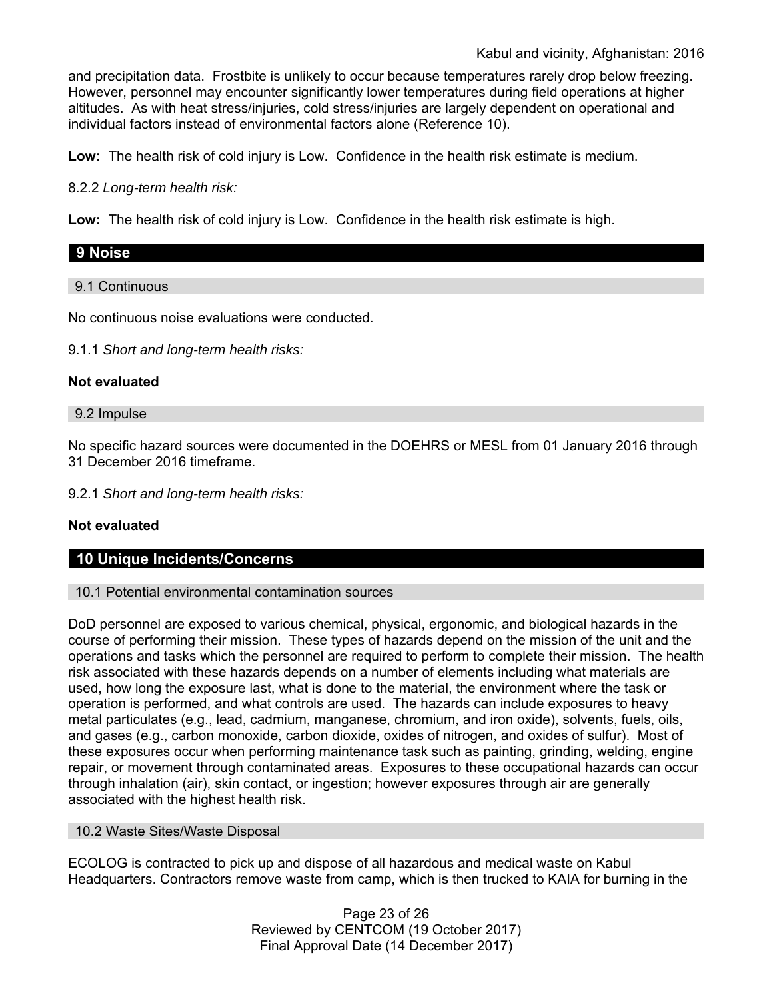and precipitation data. Frostbite is unlikely to occur because temperatures rarely drop below freezing. However, personnel may encounter significantly lower temperatures during field operations at higher altitudes. As with heat stress/injuries, cold stress/injuries are largely dependent on operational and individual factors instead of environmental factors alone (Reference 10).

**Low:** The health risk of cold injury is Low. Confidence in the health risk estimate is medium.

8.2.2 *Long-term health risk:* 

**Low:** The health risk of cold injury is Low. Confidence in the health risk estimate is high.

# **9 Noise**

9.1 Continuous

No continuous noise evaluations were conducted.

9.1.1 *Short and long-term health risks:*

#### **Not evaluated**

9.2 Impulse

No specific hazard sources were documented in the DOEHRS or MESL from 01 January 2016 through 31 December 2016 timeframe.

9.2.1 *Short and long-term health risks:*

### **Not evaluated**

### **10 Unique Incidents/Concerns**

#### 10.1 Potential environmental contamination sources

DoD personnel are exposed to various chemical, physical, ergonomic, and biological hazards in the course of performing their mission. These types of hazards depend on the mission of the unit and the operations and tasks which the personnel are required to perform to complete their mission. The health risk associated with these hazards depends on a number of elements including what materials are used, how long the exposure last, what is done to the material, the environment where the task or operation is performed, and what controls are used. The hazards can include exposures to heavy metal particulates (e.g., lead, cadmium, manganese, chromium, and iron oxide), solvents, fuels, oils, and gases (e.g., carbon monoxide, carbon dioxide, oxides of nitrogen, and oxides of sulfur). Most of these exposures occur when performing maintenance task such as painting, grinding, welding, engine repair, or movement through contaminated areas. Exposures to these occupational hazards can occur through inhalation (air), skin contact, or ingestion; however exposures through air are generally associated with the highest health risk.

#### 10.2 Waste Sites/Waste Disposal

ECOLOG is contracted to pick up and dispose of all hazardous and medical waste on Kabul Headquarters. Contractors remove waste from camp, which is then trucked to KAIA for burning in the

> Page 23 of 26 Reviewed by CENTCOM (19 October 2017) Final Approval Date (14 December 2017)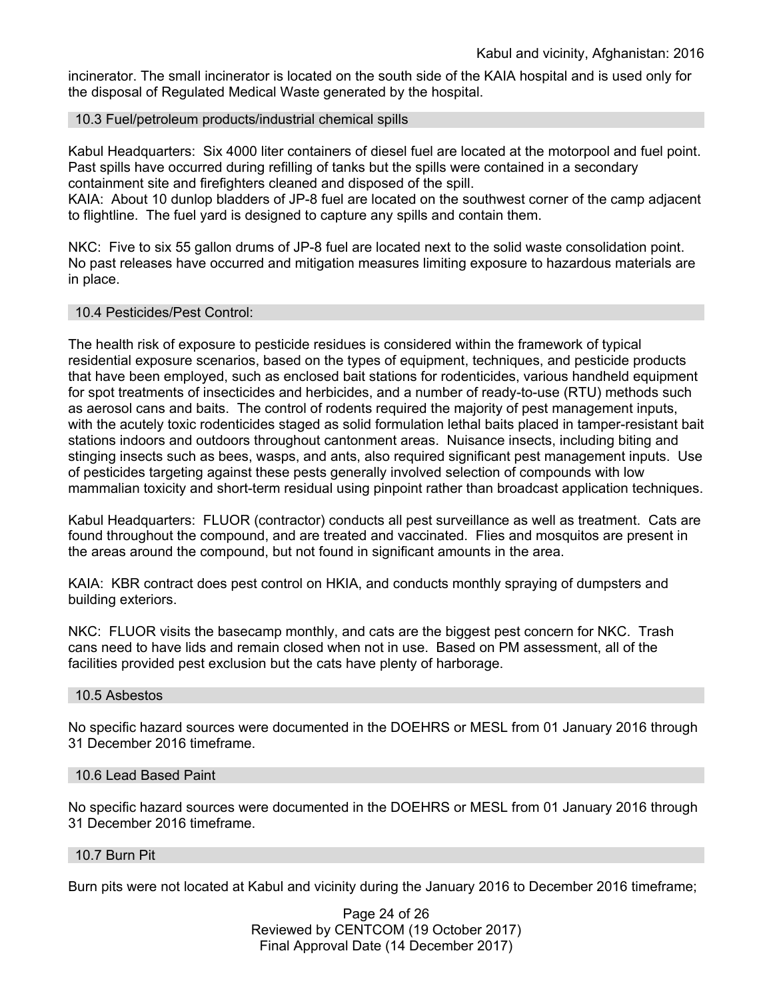incinerator. The small incinerator is located on the south side of the KAIA hospital and is used only for the disposal of Regulated Medical Waste generated by the hospital.

### 10.3 Fuel/petroleum products/industrial chemical spills

Kabul Headquarters: Six 4000 liter containers of diesel fuel are located at the motorpool and fuel point. Past spills have occurred during refilling of tanks but the spills were contained in a secondary containment site and firefighters cleaned and disposed of the spill.

KAIA: About 10 dunlop bladders of JP-8 fuel are located on the southwest corner of the camp adjacent to flightline. The fuel yard is designed to capture any spills and contain them.

NKC: Five to six 55 gallon drums of JP-8 fuel are located next to the solid waste consolidation point. No past releases have occurred and mitigation measures limiting exposure to hazardous materials are in place.

#### 10.4 Pesticides/Pest Control:

The health risk of exposure to pesticide residues is considered within the framework of typical residential exposure scenarios, based on the types of equipment, techniques, and pesticide products that have been employed, such as enclosed bait stations for rodenticides, various handheld equipment for spot treatments of insecticides and herbicides, and a number of ready-to-use (RTU) methods such as aerosol cans and baits. The control of rodents required the majority of pest management inputs, with the acutely toxic rodenticides staged as solid formulation lethal baits placed in tamper-resistant bait stations indoors and outdoors throughout cantonment areas. Nuisance insects, including biting and stinging insects such as bees, wasps, and ants, also required significant pest management inputs. Use of pesticides targeting against these pests generally involved selection of compounds with low mammalian toxicity and short-term residual using pinpoint rather than broadcast application techniques.

Kabul Headquarters: FLUOR (contractor) conducts all pest surveillance as well as treatment. Cats are found throughout the compound, and are treated and vaccinated. Flies and mosquitos are present in the areas around the compound, but not found in significant amounts in the area.

KAIA: KBR contract does pest control on HKIA, and conducts monthly spraying of dumpsters and building exteriors.

NKC: FLUOR visits the basecamp monthly, and cats are the biggest pest concern for NKC. Trash cans need to have lids and remain closed when not in use. Based on PM assessment, all of the facilities provided pest exclusion but the cats have plenty of harborage.

#### 10.5 Asbestos

No specific hazard sources were documented in the DOEHRS or MESL from 01 January 2016 through 31 December 2016 timeframe.

#### 10.6 Lead Based Paint

No specific hazard sources were documented in the DOEHRS or MESL from 01 January 2016 through 31 December 2016 timeframe.

#### 10.7 Burn Pit

Burn pits were not located at Kabul and vicinity during the January 2016 to December 2016 timeframe;

Page 24 of 26 Reviewed by CENTCOM (19 October 2017) Final Approval Date (14 December 2017)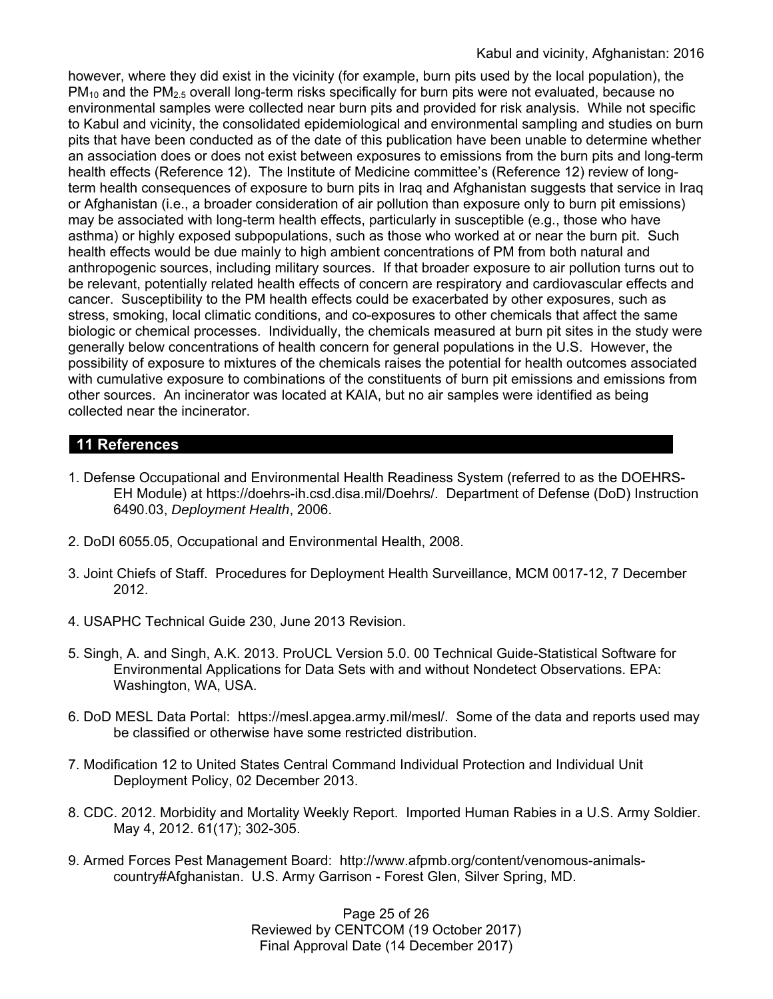however, where they did exist in the vicinity (for example, burn pits used by the local population), the  $PM_{10}$  and the PM<sub>2.5</sub> overall long-term risks specifically for burn pits were not evaluated, because no environmental samples were collected near burn pits and provided for risk analysis. While not specific to Kabul and vicinity, the consolidated epidemiological and environmental sampling and studies on burn pits that have been conducted as of the date of this publication have been unable to determine whether an association does or does not exist between exposures to emissions from the burn pits and long-term health effects (Reference 12). The Institute of Medicine committee's (Reference 12) review of longterm health consequences of exposure to burn pits in Iraq and Afghanistan suggests that service in Iraq or Afghanistan (i.e., a broader consideration of air pollution than exposure only to burn pit emissions) may be associated with long-term health effects, particularly in susceptible (e.g., those who have asthma) or highly exposed subpopulations, such as those who worked at or near the burn pit. Such health effects would be due mainly to high ambient concentrations of PM from both natural and anthropogenic sources, including military sources. If that broader exposure to air pollution turns out to be relevant, potentially related health effects of concern are respiratory and cardiovascular effects and cancer. Susceptibility to the PM health effects could be exacerbated by other exposures, such as stress, smoking, local climatic conditions, and co-exposures to other chemicals that affect the same biologic or chemical processes. Individually, the chemicals measured at burn pit sites in the study were generally below concentrations of health concern for general populations in the U.S. However, the possibility of exposure to mixtures of the chemicals raises the potential for health outcomes associated with cumulative exposure to combinations of the constituents of burn pit emissions and emissions from other sources. An incinerator was located at KAIA, but no air samples were identified as being collected near the incinerator.

# **11 References**

- 1. Defense Occupational and Environmental Health Readiness System (referred to as the DOEHRS-EH Module) at https://doehrs-ih.csd.disa.mil/Doehrs/. Department of Defense (DoD) Instruction 6490.03, *Deployment Health*, 2006.
- 2. DoDI 6055.05, Occupational and Environmental Health, 2008.
- 3. Joint Chiefs of Staff. Procedures for Deployment Health Surveillance, MCM 0017-12, 7 December 2012.
- 4. USAPHC Technical Guide 230, June 2013 Revision.
- 5. Singh, A. and Singh, A.K. 2013. ProUCL Version 5.0. 00 Technical Guide-Statistical Software for Environmental Applications for Data Sets with and without Nondetect Observations. EPA: Washington, WA, USA.
- 6. DoD MESL Data Portal: https://mesl.apgea.army.mil/mesl/. Some of the data and reports used may be classified or otherwise have some restricted distribution.
- 7. Modification 12 to United States Central Command Individual Protection and Individual Unit Deployment Policy, 02 December 2013.
- 8. CDC. 2012. Morbidity and Mortality Weekly Report. Imported Human Rabies in a U.S. Army Soldier. May 4, 2012. 61(17); 302-305.
- 9. Armed Forces Pest Management Board: http://www.afpmb.org/content/venomous-animalscountry#Afghanistan. U.S. Army Garrison - Forest Glen, Silver Spring, MD.

Page 25 of 26 Reviewed by CENTCOM (19 October 2017) Final Approval Date (14 December 2017)